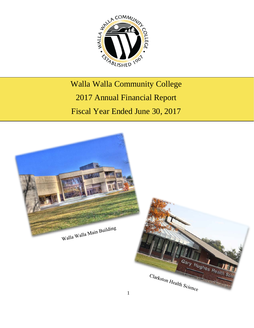

# Walla Walla Community College 2017 Annual Financial Report Fiscal Year Ended June 30, 2017

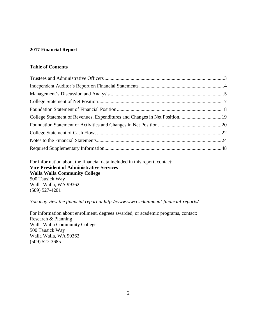### **2017 Financial Report**

### **Table of Contents**

For information about the financial data included in this report, contact: **Vice President of Administrative Services Walla Walla Community College** 500 Tausick Way Walla Walla, WA 99362 (509) 527-4201

### *You may view the financial report at<http://www.wwcc.edu/annual-financial-reports/>*

For information about enrollment, degrees awarded, or academic programs, contact: Research & Planning Walla Walla Community College 500 Tausick Way Walla Walla, WA 99362 (509) 527-3685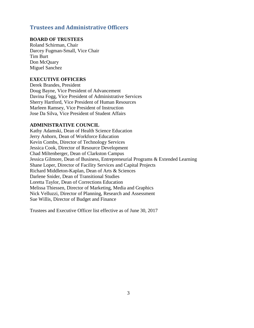### <span id="page-2-0"></span>**Trustees and Administrative Officers**

### **BOARD OF TRUSTEES**

Roland Schirman, Chair Darcey Fugman-Small, Vice Chair Tim Burt Don McQuary Miguel Sanchez

#### **EXECUTIVE OFFICERS**

Derek Brandes, President Doug Bayne, Vice President of Advancement Davina Fogg, Vice President of Administrative Services Sherry Hartford, Vice President of Human Resources Marleen Ramsey, Vice President of Instruction Jose Da Silva, Vice President of Student Affairs

#### **ADMINISTRATIVE COUNCIL**

Kathy Adamski, Dean of Health Science Education Jerry Anhorn, Dean of Workforce Education Kevin Combs, Director of Technology Services Jessica Cook, Director of Resource Development Chad Miltenberger, Dean of Clarkston Campus Jessica Gilmore, Dean of Business, Entrepreneurial Programs & Extended Learning Shane Loper, Director of Facility Services and Capital Projects Richard Middleton-Kaplan, Dean of Arts & Sciences Darlene Snider, Dean of Transitional Studies Loretta Taylor, Dean of Corrections Education Melissa Thiessen, Director of Marketing, Media and Graphics Nick Velluzzi, Director of Planning, Research and Assessment Sue Willis, Director of Budget and Finance

Trustees and Executive Officer list effective as of June 30, 2017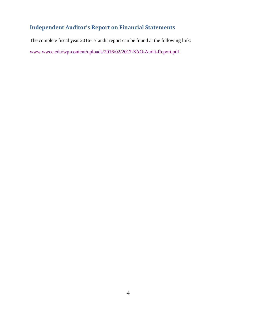# <span id="page-3-0"></span>**Independent Auditor's Report on Financial Statements**

The complete fiscal year 2016-17 audit report can be found at the following link:

[www.wwcc.edu/wp-content/uploads/2016/02/2017-SAO-Audit-Report.pdf](http://www.wwcc.edu/wp-content/uploads/2016/02/2017-SAO-Audit-Report.pdf)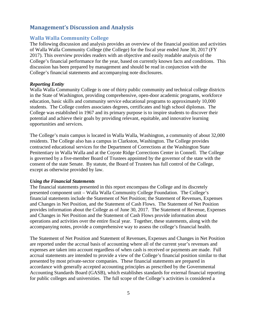### <span id="page-4-0"></span>**Management's Discussion and Analysis**

#### **Walla Walla Community College**

The following discussion and analysis provides an overview of the financial position and activities of Walla Walla Community College (the College) for the fiscal year ended June 30, 2017 (FY 2017). This overview provides readers with an objective and easily readable analysis of the College's financial performance for the year, based on currently known facts and conditions. This discussion has been prepared by management and should be read in conjunction with the College's financial statements and accompanying note disclosures.

#### *Reporting Entity*

Walla Walla Community College is one of thirty public community and technical college districts in the State of Washington, providing comprehensive, open-door academic programs, workforce education, basic skills and community service educational programs to approximately 10,000 students. The College confers associates degrees, certificates and high school diplomas. The College was established in 1967 and its primary purpose is to inspire students to discover their potential and achieve their goals by providing relevant, equitable, and innovative learning opportunities and services.

The College's main campus is located in Walla Walla, Washington, a community of about 32,000 residents. The College also has a campus in Clarkston, Washington. The College provides contracted educational services for the Department of Corrections at the Washington State Penitentiary in Walla Walla and at the Coyote Ridge Corrections Center in Connell. The College is governed by a five-member Board of Trustees appointed by the governor of the state with the consent of the state Senate. By statute, the Board of Trustees has full control of the College, except as otherwise provided by law.

#### *Using the Financial Statements*

The financial statements presented in this report encompass the College and its discretely presented component unit – Walla Walla Community College Foundation. The College's financial statements include the Statement of Net Position; the Statement of Revenues, Expenses and Changes in Net Position, and the Statement of Cash Flows. The Statement of Net Position provides information about the College as of June 30, 2017. The Statement of Revenue, Expenses and Changes in Net Position and the Statement of Cash Flows provide information about operations and activities over the entire fiscal year. Together, these statements, along with the accompanying notes, provide a comprehensive way to assess the college's financial health.

The Statement of Net Position and Statement of Revenues, Expenses and Changes in Net Position are reported under the accrual basis of accounting where all of the current year's revenues and expenses are taken into account regardless of when cash is received or payments are made. Full accrual statements are intended to provide a view of the College's financial position similar to that presented by most private-sector companies. These financial statements are prepared in accordance with generally accepted accounting principles as prescribed by the Governmental Accounting Standards Board (GASB), which establishes standards for external financial reporting for public colleges and universities. The full scope of the College's activities is considered a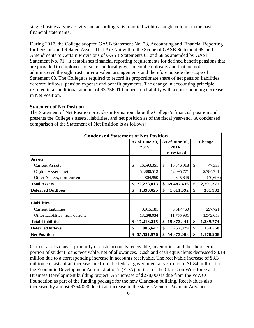single business-type activity and accordingly, is reported within a single column in the basic financial statements.

During 2017, the College adopted GASB Statement No. 73, Accounting and Financial Reporting for Pensions and Related Assets That Are Not within the Scope of GASB Statement 68, and Amendments to Certain Provisions of GASB Statements 67 and 68 as amended by GASB Statement No. 71. It establishes financial reporting requirements for defined benefit pensions that are provided to employees of state and local governmental employers and that are not administered through trusts or equivalent arrangements and therefore outside the scope of Statement 68. The College is required to record its proportionate share of net pension liabilities, deferred inflows, pension expense and benefit payments. The change in accounting principle resulted in an additional amount of \$3,336,910 in pension liability with a corresponding decrease in Net Position.

#### **Statement of Net Position**

The Statement of Net Position provides information about the College's financial position and presents the College's assets, liabilities, and net position as of the fiscal year-end. A condensed comparison of the Statement of Net Position is as follows:

| <b>Condensed Statement of Net Position</b> |    |                |                |             |    |               |
|--------------------------------------------|----|----------------|----------------|-------------|----|---------------|
|                                            |    | As of June 30, | As of June 30, |             |    | <b>Change</b> |
|                                            |    | 2017           |                | 2016        |    |               |
|                                            |    |                |                | as restated |    |               |
| <b>Assets</b>                              |    |                |                |             |    |               |
| <b>Current Assets</b>                      | \$ | 16,593,351     | \$             | 16,546,018  | \$ | 47,333        |
| Capital Assets, net                        |    | 54,880,512     |                | 52,095,771  |    | 2,784,741     |
| Other Assets, non-current                  |    | 804,950        |                | 845,646     |    | (40, 696)     |
| <b>Total Assets</b>                        | \$ | 72,278,813     | \$             | 69,487,436  | \$ | 2,791,377     |
| <b>Deferred Outflows</b>                   | \$ | 1,393,025      | \$             | 1,011,092   | \$ | 381,933       |
|                                            |    |                |                |             |    |               |
| <b>Liabilities</b>                         |    |                |                |             |    |               |
| <b>Current Liabilities</b>                 |    | 3,915,181      |                | 3,617,460   |    | 297,721       |
| Other Liabilities, non-current             |    | 13,298,034     |                | 11,755,981  |    | 1,542,053     |
| <b>Total Liabilities</b>                   | \$ | 17,213,215     | \$             | 15,373,441  | \$ | 1,839,774     |
| <b>Deferred Inflows</b>                    | \$ | 906,647        | \$             | 752,079     | \$ | 154,568       |
| <b>Net Position</b>                        | \$ | 55,551,976     | \$             | 54,373,008  | \$ | 1,178,968     |

Current assets consist primarily of cash, accounts receivable, inventories, and the short-term portion of student loans receivable, net of allowances. Cash and cash equivalents decreased \$3.14 million due to a corresponding increase in accounts receivable. The receivable increase of \$3.3 million consists of an increase due from the federal government at year-end of \$1.84 million for the Economic Development Administration's (EDA) portion of the Clarkston Workforce and Business Development building project. An increase of \$278,000 is due from the WWCC Foundation as part of the funding package for the new Clarkston building. Receivables also increased by almost \$754,000 due to an increase in the state's Vendor Payment Advance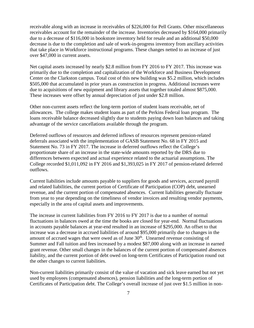receivable along with an increase in receivables of \$226,000 for Pell Grants. Other miscellaneous receivables account for the remainder of the increase. Inventories decreased by \$164,000 primarily due to a decrease of \$116,000 in bookstore inventory held for resale and an additional \$50,000 decrease is due to the completion and sale of work-in-progress inventory from ancillary activities that take place in Workforce instructional programs. These changes netted to an increase of just over \$47,000 in current assets.

Net capital assets increased by nearly \$2.8 million from FY 2016 to FY 2017. This increase was primarily due to the completion and capitalization of the Workforce and Business Development Center on the Clarkston campus. Total cost of this new building was \$5.2 million, which includes \$505,000 that accumulated in prior years as construction in progress. Additional increases were due to acquisitions of new equipment and library assets that together totaled almost \$875,000. These increases were offset by annual depreciation of just under \$2.8 million.

Other non-current assets reflect the long-term portion of student loans receivable, net of allowances. The college makes student loans as part of the Perkins Federal loan program. The loans receivable balance decreased slightly due to students paying down loan balances and taking advantage of the service cancellations available through the program.

Deferred outflows of resources and deferred inflows of resources represent pension-related deferrals associated with the implementation of GASB Statement No. 68 in FY 2015 and Statement No. 73 in FY 2017. The increase in deferred outflows reflect the College's proportionate share of an increase in the state-wide amounts reported by the DRS due to differences between expected and actual experience related to the actuarial assumptions. The College recorded \$1,011,092 in FY 2016 and \$1,393,025 in FY 2017 of pension-related deferred outflows.

Current liabilities include amounts payable to suppliers for goods and services, accrued payroll and related liabilities, the current portion of Certificate of Participation (COP) debt, unearned revenue, and the current portion of compensated absences. Current liabilities generally fluctuate from year to year depending on the timeliness of vendor invoices and resulting vendor payments, especially in the area of capital assets and improvements.

The increase in current liabilities from FY 2016 to FY 2017 is due to a number of normal fluctuations in balances owed at the time the books are closed for year-end. Normal fluctuations in accounts payable balances at year-end resulted in an increase of \$295,000. An offset to that increase was a decrease in accrued liabilities of around \$95,000 primarily due to changes in the amount of accrued wages that were owed as of June 30<sup>th</sup>. Unearned revenue consisting of Summer and Fall tuition and fees increased by a modest \$87,000 along with an increase in earned grant revenue. Other small changes in the balances of the current portion of compensated absences liability, and the current portion of debt owed on long-term Certificates of Participation round out the other changes to current liabilities.

Non-current liabilities primarily consist of the value of vacation and sick leave earned but not yet used by employees (compensated absences), pension liabilities and the long-term portion of Certificates of Participation debt. The College's overall increase of just over \$1.5 million in non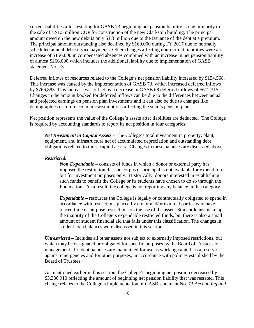current liabilities after restating for GASB 73 beginning net pension liability is due primarily to the sale of a \$1.5 million COP for construction of the new Clarkston building. The principal amount owed on the new debt is only \$1.3 million due to the issuance of the debt at a premium. The principal amount outstanding also declined by \$160,000 during FY 2017 due to normally scheduled annual debt service payments. Other changes affecting non-current liabilities were an increase of \$156,000 in compensated absences combined with an increase in net pension liability of almost \$266,000 which includes the additional liability due to implementation of GASB statement No. 73.

Deferred inflows of resources related to the College's net pension liability increased by \$154,568. This increase was caused by the implementation of GASB 73, which increased deferred inflows by \$766,883. This increase was offset by a decrease in GASB 68 deferred inflows of \$612,315. Changes in the amount booked for deferred inflows can be due to the differences between actual and projected earnings on pension plan investments and it can also be due to changes like demographics or future economic assumptions affecting the state's pension plans.

Net position represents the value of the College's assets after liabilities are deducted. The College is required by accounting standards to report its net position in four categories:

*Net Investment in Capital Assets –* The College's total investment in property, plant, equipment, and infrastructure net of accumulated depreciation and outstanding debt obligations related to those capital assets. Changes in these balances are discussed above.

#### *Restricted:*

*Non Expendable –* consists of funds in which a donor or external party has imposed the restriction that the corpus or principal is not available for expenditures but for investment purposes only. Historically, donors interested in establishing such funds to benefit the College or its students have chosen to do so through the Foundation. As a result, the college is not reporting any balance in this category.

*Expendable* – resources the College is legally or contractually obligated to spend in accordance with restrictions placed by donor and/or external parties who have placed time or purpose restrictions on the use of the asset. Student loans make up the majority of the College's expendable restricted funds, but there is also a small amount of student financial aid that falls under this classification. The changes in student loan balances were discussed in this section.

*Unrestricted –* Includes all other assets not subject to externally imposed restrictions, but which may be designated or obligated for specific purposes by the Board of Trustees or management. Prudent balances are maintained for use as working capital, as a reserve against emergencies and for other purposes, in accordance with policies established by the Board of Trustees.

As mentioned earlier in this section, the College's beginning net position decreased by \$3,336,910 reflecting the amount of beginning net pension liability that was restated. This change relates to the College's implementation of GASB statement No. 73 *Accounting and*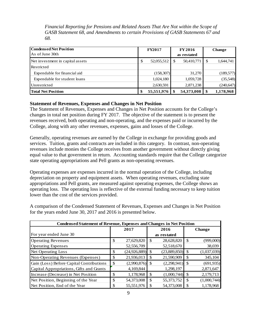*Financial Reporting for Pensions and Related Assets That Are Not within the Scope of GASB Statement 68, and Amendments to certain Provisions of GASB Statements 67 and 68.*

| Condensed Net Position           | <b>FY2017</b>    |  | <b>FY 2016</b> |    | <b>Change</b> |
|----------------------------------|------------------|--|----------------|----|---------------|
| As of June 30th                  |                  |  | as restated    |    |               |
| Net investment in capital assets | \$<br>52,055,512 |  | 50,410,771     | \$ | 1,644,741     |
| Restricted                       |                  |  |                |    |               |
| Expendable for financial aid     | (158, 307)       |  | 31,270         |    | (189, 577)    |
| Expendable for student loans     | 1,024,180        |  | 1,059,728      |    | (35,548)      |
| Unrestricted                     | 2,630,591        |  | 2,871,238      |    | (240, 647)    |
| <b>Total Net Position</b>        | 55,551,976       |  | 54,373,008     | \$ | 1,178,968     |

### **Statement of Revenues, Expenses and Changes in Net Position**

The Statement of Revenues, Expenses and Changes in Net Position accounts for the College's changes in total net position during FY 2017. The objective of the statement is to present the revenues received, both operating and non-operating, and the expenses paid or incurred by the College, along with any other revenues, expenses, gains and losses of the College.

Generally, operating revenues are earned by the College in exchange for providing goods and services. Tuition, grants and contracts are included in this category. In contrast, non-operating revenues include monies the College receives from another government without directly giving equal value to that government in return. Accounting standards require that the College categorize state operating appropriations and Pell grants as non-operating revenues.

Operating expenses are expenses incurred in the normal operation of the College, including depreciation on property and equipment assets. When operating revenues, excluding state appropriations and Pell grants, are measured against operating expenses, the College shows an operating loss. The operating loss is reflective of the external funding necessary to keep tuition lower than the cost of the services provided.

A comparison of the Condensed Statement of Revenues, Expenses and Changes in Net Position for the years ended June 30, 2017 and 2016 is presented below.

| <b>Condensed Statement of Revenue, Expenses and Changes in Net Position</b> |      |                |  |                   |               |               |  |  |
|-----------------------------------------------------------------------------|------|----------------|--|-------------------|---------------|---------------|--|--|
|                                                                             | 2017 |                |  | 2016              |               | <b>Change</b> |  |  |
| For year ended June 30                                                      |      |                |  | as restated       |               |               |  |  |
| <b>Operating Revenues</b>                                                   | \$   | 27,629,820     |  | 28,628,820        | <sup>\$</sup> | (999,000)     |  |  |
| <b>Operating Expenses</b>                                                   |      | 52,556,709     |  | 52,518,670        |               | 38,039        |  |  |
| <b>Net Operating Loss</b>                                                   | \$   | (24, 926, 889) |  | $(23,889,850)$ \$ |               | (1,037,039)   |  |  |
| Non-Operating Revenues (Expenses)                                           | S    | 21,936,013     |  | 21,590,909        |               | 345,104       |  |  |
| Gain (Loss) Before Capital Contributions                                    | \$   | (2,990,876)    |  | $(2,298,941)$ \$  |               | (691, 935)    |  |  |
| Capital Appropriations, Gifts and Grants                                    |      | 4,169,844      |  | 1,298,197         |               | 2,871,647     |  |  |
| Increase (Decrease) in Net Position                                         | \$   | 1,178,968      |  | (1,000,744)       |               | 2,179,713     |  |  |
| Net Position, Beginning of the Year                                         | \$.  | 54,373,008     |  | 55,373,752        | -S            | (1,000,744)   |  |  |
| Net Position, End of the Year                                               |      | 55,551,976     |  | 54,373,008        |               | 1,178,968     |  |  |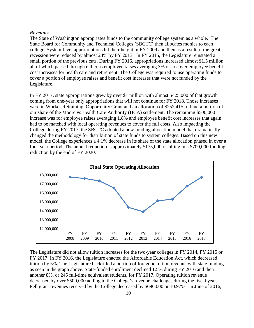#### *Revenues*

The State of Washington appropriates funds to the community college system as a whole. The State Board for Community and Technical Colleges (SBCTC) then allocates monies to each college. System-level appropriations hit their height in FY 2009 and then as a result of the great recession were reduced by almost 24% by FY 2013. In FY 2015, the Legislature reinstated a small portion of the previous cuts. During FY 2016, appropriations increased almost \$1.5 million all of which passed through either as employee raises averaging 3% or to cover employee benefit cost increases for health care and retirement. The College was required to use operating funds to cover a portion of employee raises and benefit cost increases that were not funded by the Legislature.

In FY 2017, state appropriations grew by over \$1 million with almost \$425,000 of that growth coming from one-year only appropriations that will not continue for FY 2018. Those increases were in Worker Retraining, Opportunity Grant and an allocation of \$252,415 to fund a portion of our share of the Moore vs Health Care Authority (HCA) settlement. The remaining \$500,000 increase was for employee raises averaging 1.8% and employee benefit cost increases that again had to be matched with local operating revenues to cover the full costs. Also impacting the College during FY 2017, the SBCTC adopted a new funding allocation model that dramatically changed the methodology for distribution of state funds to system colleges. Based on this new model, the College experiences a 4.1% decrease in its share of the state allocation phased in over a four-year period. The annual reduction is approximately \$175,000 resulting in a \$700,000 funding reduction by the end of FY 2020.



The Legislature did not allow tuition increases for the two-year colleges in FY 2014, FY 2015 or FY 2017. In FY 2016, the Legislature enacted the Affordable Education Act, which decreased tuition by 5%. The Legislature backfilled a portion of foregone tuition revenue with state funding as seen in the graph above. State-funded enrollment declined 1.5% during FY 2016 and then another 8%, or 245 full-time equivalent students, for FY 2017. Operating tuition revenue decreased by over \$500,000 adding to the College's revenue challenges during the fiscal year. Pell grant revenues received by the College decreased by \$696,000 or 10.97%. In June of 2016,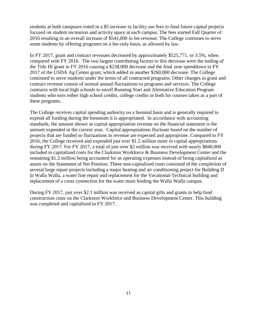students at both campuses voted in a \$5 increase in facility use fees to fund future capital projects focused on student recreation and activity space at each campus. The fees started Fall Quarter of 2016 resulting in an overall increase of \$541,000 in fee revenue. The College continues to serve some students by offering programs on a fee-only basis, as allowed by law.

In FY 2017, grant and contract revenues decreased by approximately \$525,771, or 3.5%, when compared with FY 2016. The two largest contributing factors to this decrease were the ending of the Title III grant in FY 2016 causing a \$238,000 decrease and the final year spenddown in FY 2017 of the USDA Ag Center grant, which added in another \$260,000 decrease. The College continued to serve students under the terms of all contracted programs. Other changes in grant and contract revenue consist of normal annual fluctuations to programs and services. The College contracts with local high schools to enroll Running Start and Alternative Education Program students who earn either high school credits, college credits or both for courses taken as a part of these programs.

The College receives capital spending authority on a biennial basis and is generally required to expend all funding during the biennium it is appropriated. In accordance with accounting standards, the amount shown as capital appropriation revenue on the financial statement is the amount expended in the current year. Capital appropriations fluctuate based on the number of projects that are funded so fluctuations in revenue are expected and appropriate. Compared to FY 2016, the College received and expended just over \$1.2 million more in capital appropriations during FY 2017. For FY 2017, a total of just over \$2 million was received with nearly \$840,000 included in capitalized costs for the Clarkston Workforce & Business Development Center and the remaining \$1.2 million being accounted for as operating expenses instead of being capitalized as assets on the Statement of Net Position. These non-capitalized costs consisted of the completion of several large repair projects including a major heating and air conditioning project for Building D in Walla Walla, a water line repair and replacement for the Vocational-Technical building and replacement of a cross connection for the water main feeding the Walla Walla campus.

During FY 2017, just over \$2.1 million was received as capital gifts and grants to help fund construction costs on the Clarkston Workforce and Business Development Center. This building was completed and capitalized in FY 2017.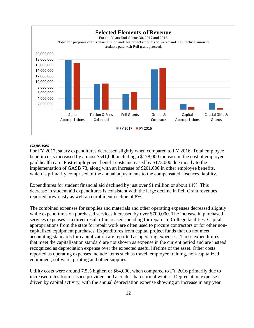

#### *Expenses*

For FY 2017, salary expenditures decreased slightly when compared to FY 2016. Total employee benefit costs increased by almost \$541,000 including a \$178,000 increase in the cost of employer paid health care. Post-employment benefit costs increased by \$173,000 due mostly to the implementation of GASB 73, along with an increase of \$201,000 in other employee benefits, which is primarily comprised of the annual adjustments to the compensated absences liability.

Expenditures for student financial aid declined by just over \$1 million or about 14%. This decrease in student aid expenditures is consistent with the large decline in Pell Grant revenues reported previously as well an enrollment decline of 8%.

The combined expenses for supplies and materials and other operating expenses decreased slightly while expenditures on purchased services increased by over \$700,000. The increase in purchased services expenses is a direct result of increased spending for repairs to College facilities. Capital appropriations from the state for repair work are often used to procure contractors or for other noncapitalized equipment purchases. Expenditures from capital project funds that do not meet accounting standards for capitalization are reported as operating expenses. Those expenditures that meet the capitalization standard are not shown as expense in the current period and are instead recognized as depreciation expense over the expected useful lifetime of the asset. Other costs reported as operating expenses include items such as travel, employee training, non-capitalized equipment, software, printing and other supplies.

Utility costs were around 7.5% higher, or \$64,000, when compared to FY 2016 primarily due to increased rates from service providers and a colder than normal winter. Depreciation expense is driven by capital activity, with the annual depreciation expense showing an increase in any year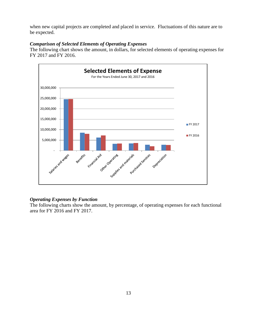when new capital projects are completed and placed in service. Fluctuations of this nature are to be expected.

#### *Comparison of Selected Elements of Operating Expenses*

The following chart shows the amount, in dollars, for selected elements of operating expenses for FY 2017 and FY 2016.



### *Operating Expenses by Function*

The following charts show the amount, by percentage, of operating expenses for each functional area for FY 2016 and FY 2017.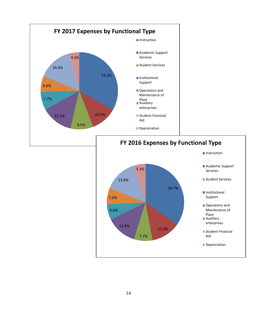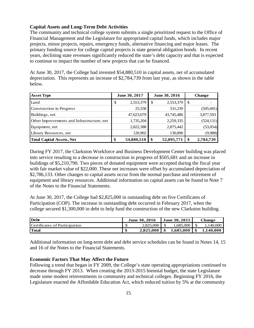#### **Capital Assets and Long-Term Debt Activities**

The community and technical college system submits a single prioritized request to the Office of Financial Management and the Legislature for appropriated capital funds, which includes major projects, minor projects, repairs, emergency funds, alternative financing and major leases. The primary funding source for college capital projects is state general obligation bonds. In recent years, declining state revenues significantly reduced the state's debt capacity and that is expected to continue to impact the number of new projects that can be financed.

At June 30, 2017, the College had invested \$54,880,510 in capital assets, net of accumulated depreciation. This represents an increase of \$2,784,739 from last year, as shown in the table below.

| <b>Asset Type</b>                          | June 30, 2017    |    | June 30, 2016 |  | <b>Change</b> |
|--------------------------------------------|------------------|----|---------------|--|---------------|
| Land                                       | \$<br>2,553,379  | S. | 2,553,379     |  |               |
| Construction in Progress                   | 25,558           |    | 531,239       |  | (505, 681)    |
| Buildings, net                             | 47,623,079       |    | 43,745,486    |  | 3,877,593     |
| Other Improvements and Infrastructure, net | 1,735,204        |    | 2,259,335     |  | (524, 131)    |
| Equipment, net                             | 2,822,388        |    | 2,875,442     |  | (53,054)      |
| Library Resources, net                     | 120,902          |    | 130,890       |  | (9,988)       |
| <b>Total Capital Assets, Net</b>           | \$<br>54,880,510 | \$ | 52,095,771    |  | 2,784,739     |

During FY 2017, the Clarkston Workforce and Business Development Center building was placed into service resulting in a decrease in construction in progress of \$505,681 and an increase in buildings of \$5,210,790. Two pieces of donated equipment were accepted during the fiscal year with fair market value of \$22,000. These net increases were offset by accumulated depreciation of \$2,786,133. Other changes to capital assets occur from the normal purchase and retirement of equipment and library resources. Additional information on capital assets can be found in Note 7 of the Notes to the Financial Statements.

At June 30, 2017, the College had \$2,825,000 in outstanding debt on five Certificates of Participation (COP). The increase in outstanding debt occurred in February 2017, when the college secured \$1,300,000 in debt to help fund the construction of the new Clarkston building.

| <b>Debt</b>                   | June 30, 2016 |                       |  | <b>June 30, 2015</b> | Change |           |
|-------------------------------|---------------|-----------------------|--|----------------------|--------|-----------|
| Certificates of Participation |               | 2,825,000             |  | 1.685,000            |        | .140,000  |
| <b>Total</b>                  |               | $2.825.000 \text{ S}$ |  | $1,685,000$   \$     |        | 1,140,000 |

Additional information on long-term debt and debt service schedules can be found in Notes 14, 15 and 16 of the Notes to the Financial Statements.

#### **Economic Factors That May Affect the Future**

Following a trend that began in FY 2009, the College's state operating appropriations continued to decrease through FY 2013. When creating the 2013-2015 biennial budget, the state Legislature made some modest reinvestments in community and technical colleges. Beginning FY 2016, the Legislature enacted the Affordable Education Act, which reduced tuition by 5% at the community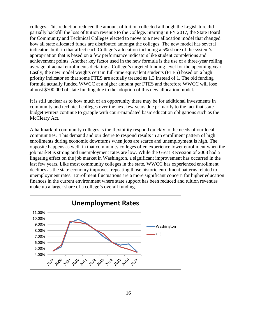colleges. This reduction reduced the amount of tuition collected although the Legislature did partially backfill the loss of tuition revenue to the College. Starting in FY 2017, the State Board for Community and Technical Colleges elected to move to a new allocation model that changed how all state allocated funds are distributed amongst the colleges. The new model has several indicators built in that affect each College's allocation including a 5% share of the system's appropriation that is based on a few performance indicators like student completions and achievement points. Another key factor used in the new formula is the use of a three-year rolling average of actual enrollments dictating a College's targeted funding level for the upcoming year. Lastly, the new model weights certain full-time equivalent students (FTES) based on a high priority indicator so that some FTES are actually treated as 1.3 instead of 1. The old funding formula actually funded WWCC at a higher amount per FTES and therefore WWCC will lose almost \$700,000 of state funding due to the adoption of this new allocation model.

It is still unclear as to how much of an opportunity there may be for additional investments in community and technical colleges over the next few years due primarily to the fact that state budget writers continue to grapple with court-mandated basic education obligations such as the McCleary Act.

A hallmark of community colleges is the flexibility respond quickly to the needs of our local communities. This demand and our desire to respond results in an enrollment pattern of high enrollments during economic downturns when jobs are scarce and unemployment is high. The opposite happens as well, in that community colleges often experience lower enrollment when the job market is strong and unemployment rates are low. While the Great Recession of 2008 had a lingering effect on the job market in Washington, a significant improvement has occurred in the last few years. Like most community colleges in the state, WWCC has experienced enrollment declines as the state economy improves, repeating those historic enrollment patterns related to unemployment rates. Enrollment fluctuations are a more significant concern for higher education finances in the current environment where state support has been reduced and tuition revenues make up a larger share of a college's overall funding.

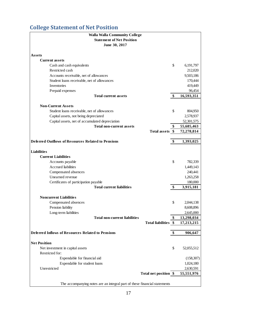# <span id="page-16-0"></span>**College Statement of Net Position**

| <b>Walla Walla Community College</b>                                      |                       |                  |
|---------------------------------------------------------------------------|-----------------------|------------------|
| <b>Statement of Net Position</b>                                          |                       |                  |
| June 30, 2017                                                             |                       |                  |
|                                                                           |                       |                  |
| Assets                                                                    |                       |                  |
| <b>Current assets</b>                                                     |                       |                  |
| Cash and cash equivalents                                                 |                       | \$<br>6,191,797  |
| Restricted cash                                                           |                       | 212,020          |
| Accounts receivable, net of allowances                                    |                       | 9,503,186        |
| Student loans receivable, net of allowances                               |                       | 170,444          |
| Inventories                                                               |                       | 419,449          |
| Prepaid expenses                                                          |                       | 96,454           |
| <b>Total current assets</b>                                               |                       | \$<br>16,593,351 |
|                                                                           |                       |                  |
| <b>Non-Current Assets</b>                                                 |                       |                  |
| Student loans receivable, net of allowances                               |                       | \$<br>804,950    |
| Capital assets, not being depreciated                                     |                       | 2,578,937        |
| Capital assets, net of accumulated depreciation                           |                       | 52,301,575       |
| <b>Total non-current assets</b>                                           | Total assets \$       | 55,685,463       |
|                                                                           |                       | 72,278,814       |
| <b>Deferred Outflows of Resources Related to Pensions</b>                 |                       | \$<br>1,393,025  |
|                                                                           |                       |                  |
| <b>Liabilities</b>                                                        |                       |                  |
| <b>Current Liabilities</b>                                                |                       |                  |
| Accounts payable                                                          |                       | \$<br>782,339    |
| Accrued liabilities                                                       |                       | 1,449,143        |
| Compensated absences                                                      |                       | 240,441          |
| Unearned revenue                                                          |                       | 1,263,258        |
| Certificates of participation payable                                     |                       | 180,000          |
| <b>Total current liabilities</b>                                          |                       | \$<br>3,915,181  |
|                                                                           |                       |                  |
| <b>Noncurrent Liabilities</b>                                             |                       |                  |
| Compensated absences                                                      |                       | \$<br>2,044,138  |
| Pension liability                                                         |                       | 8,608,896        |
| Long-term liabilities                                                     |                       | 2,645,000        |
| <b>Total non-current liabilities</b>                                      |                       | \$<br>13,298,034 |
|                                                                           | Total liabilities \$  | 17,213,215       |
|                                                                           |                       |                  |
| <b>Deferred Inflows of Resources Related to Pensions</b>                  |                       | \$<br>906,647    |
|                                                                           |                       |                  |
| <b>Net Position</b>                                                       |                       |                  |
| Net investment in capital assets                                          |                       | \$<br>52,055,512 |
| Restricted for:                                                           |                       |                  |
| Expendable for financial aid                                              |                       | (158, 307)       |
| Expendable for student loans                                              |                       | 1,024,180        |
| Unrestricted                                                              | Total net position \$ | 2,630,591        |
|                                                                           |                       | 55,551,976       |
| The accompanying notes are an integral part of these financial statements |                       |                  |
|                                                                           |                       |                  |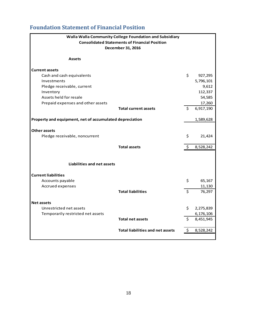# <span id="page-17-0"></span>**Foundation Statement of Financial Position**

|                                                         | Walla Walla Community College Foundation and Subsidiary |                 |
|---------------------------------------------------------|---------------------------------------------------------|-----------------|
|                                                         | <b>Consolidated Statements of Financial Position</b>    |                 |
|                                                         | December 31, 2016                                       |                 |
|                                                         |                                                         |                 |
| <b>Assets</b>                                           |                                                         |                 |
| <b>Current assets</b>                                   |                                                         |                 |
| Cash and cash equivalents                               |                                                         | \$<br>927,295   |
| Investments                                             |                                                         | 5,796,101       |
| Pledge receivable, current                              |                                                         | 9,612           |
| Inventory                                               |                                                         | 112,337         |
| Assets held for resale                                  |                                                         | 54,585          |
| Prepaid expenses and other assets                       |                                                         | 17,260          |
|                                                         | <b>Total current assets</b>                             | \$<br>6,917,190 |
| Property and equipment, net of accumulated depreciation |                                                         | 1,589,628       |
|                                                         |                                                         |                 |
| <b>Other assets</b>                                     |                                                         |                 |
| Pledge receivable, noncurrent                           |                                                         | \$<br>21,424    |
|                                                         |                                                         |                 |
|                                                         | <b>Total assets</b>                                     | \$<br>8,528,242 |
|                                                         |                                                         |                 |
| Liabilities and net assets                              |                                                         |                 |
|                                                         |                                                         |                 |
| <b>Current liabilities</b>                              |                                                         |                 |
| Accounts payable                                        |                                                         | \$<br>65,167    |
| Accrued expenses                                        |                                                         | 11,130          |
|                                                         | <b>Total liabilities</b>                                | \$<br>76,297    |
|                                                         |                                                         |                 |
| <b>Net assets</b>                                       |                                                         |                 |
| Unrestricted net assets                                 |                                                         | \$<br>2,275,839 |
| Temporarily restricted net assets                       |                                                         | 6,176,106       |
|                                                         | <b>Total net assets</b>                                 | \$<br>8,451,945 |
|                                                         | <b>Total liabilities and net assets</b>                 | \$<br>8,528,242 |
|                                                         |                                                         |                 |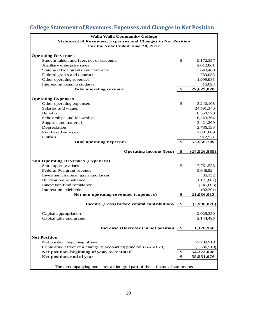# <span id="page-18-0"></span>**College Statement of Revenues, Expenses and Changes in Net Position**

| <b>Walla Walla Community College</b>                                      |               |                       |
|---------------------------------------------------------------------------|---------------|-----------------------|
| <b>Statement of Revenues, Expenses and Changes in Net Position</b>        |               |                       |
| For the Year Ended June 30, 2017                                          |               |                       |
|                                                                           |               |                       |
| <b>Operating Revenues</b>                                                 |               |                       |
| Student tuition and fees, net of discounts                                | \$            | 9,172,357             |
| Auxiliary enterprise sales                                                |               | 2,012,861             |
| State and local grants and contracts                                      |               | 13,640,468            |
| Federal grants and contracts                                              |               | 789,055               |
| Other operating revenues                                                  |               | 1,999,985             |
| Interest on loans to students                                             |               | 15,093                |
| Total operating revenue                                                   | \$            | 27,629,820            |
| <b>Operating Expenses</b>                                                 |               |                       |
| Other operating expenses                                                  | \$            | 3,242,103             |
| Salaries and wages                                                        |               | 24,591,340            |
| <b>Benefits</b>                                                           |               | 8,558,570             |
| Scholarships and fellowships                                              |               | 6,243,364             |
| Supplies and materials                                                    |               | 3,421,269             |
| Depreciation                                                              |               | 2,786,133             |
| Purchased services                                                        |               |                       |
| <b>Utilities</b>                                                          |               | 2,801,009             |
|                                                                           |               | 912,921<br>52,556,709 |
| <b>Total operating expenses</b>                                           | \$            |                       |
| <b>Operating income (loss)</b>                                            | $\bullet$     | (24, 926, 889)        |
|                                                                           |               |                       |
| <b>Non-Operating Revenues (Expenses)</b>                                  | \$            |                       |
| State appropriations                                                      |               | 17,751,528            |
| Federal Pell grant revenue                                                |               | 5,648,524             |
| Investment income, gains and losses                                       |               | 35,152                |
| Building fee remittance                                                   |               | (1, 171, 887)         |
| Innovation fund remittance                                                |               | (245,003)             |
| Interest on indebtedness                                                  |               | (82,301)              |
| Net non-operating revenues (expenses)                                     | $\frac{1}{2}$ | 21,936,013            |
| Income (Loss) before capital contributions                                | - \$          | (2,990,876)           |
| Capital appropriations                                                    |               | 2,025,350             |
| Capital gifts and grants                                                  |               | 2,144,495             |
|                                                                           |               |                       |
| Increase (Decrease) in net position \$                                    |               | 1,178,968             |
| <b>Net Position</b>                                                       |               |                       |
| Net position, beginning of year                                           |               | 57,709,918            |
| Cumulative effect of a change in accounting principle (GASB 73)           |               | (3,336,910)           |
| Net position, beginning of year, as restated                              | \$            | 54,373,008            |
| Net position, end of year                                                 | \$            | 55,551,976            |
|                                                                           |               |                       |
| The accompanying notes are an integral part of these financial statements |               |                       |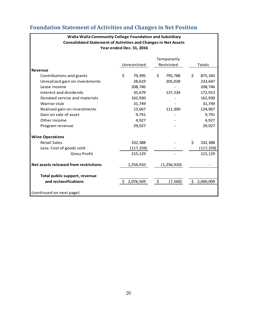|                                       | Year ended Dec. 31, 2016 |                |                 |  |
|---------------------------------------|--------------------------|----------------|-----------------|--|
|                                       |                          | Temporarily    |                 |  |
|                                       | Unrestricted             | Restricted     | <b>Totals</b>   |  |
| Revenue                               |                          |                |                 |  |
| Contributions and grants              | \$<br>79,395             | \$<br>795,788  | \$<br>875,183   |  |
| Unrealized gain on investments        | 28,619                   | 205,028        | 233,647         |  |
| Lease income                          | 208,746                  |                | 208,746         |  |
| Interest and dividends                | 35,679                   | 137,234        | 172,913         |  |
| Donated service and materials         | 162,930                  |                | 162,930         |  |
| Warrior club                          | 31,749                   |                | 31,749          |  |
| Realized gain on investments          | 13,667                   | 111,300        | 124,967         |  |
| Gain on sale of asset                 | 9,791                    |                | 9,791           |  |
| Other income                          | 4,927                    |                | 4,927           |  |
| Program revenue                       | 29,027                   |                | 29,027          |  |
| <b>Wine Operations</b>                |                          |                |                 |  |
| <b>Retail Sales</b>                   | 332,388                  |                | \$<br>332,388   |  |
| Less: Cost of goods sold              | (117,259)                |                | (117,259)       |  |
| <b>Gross Profit</b>                   | 215,129                  |                | 215,129         |  |
| Net assets released from restrictions | 1,256,910                | (1, 256, 910)  |                 |  |
| Total public support, revenue         |                          |                |                 |  |
| and reclassifications                 | Ŝ.<br>2,076,569          | \$<br>(7, 560) | Ŝ.<br>2,069,009 |  |
| (continued on next page)              |                          |                |                 |  |

# <span id="page-19-0"></span>**Foundation Statement of Activities and Changes in Net Position**

**Walla Walla Community College Foundation and Subsidiary Consolidated Statement of Activities and Changes in Net Assets**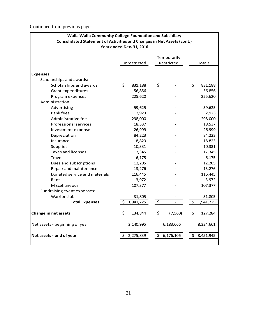Continued from previous page

| Walla Walla Community College Foundation and Subsidiary                       |    |                          |    |                          |    |           |
|-------------------------------------------------------------------------------|----|--------------------------|----|--------------------------|----|-----------|
| <b>Consolidated Statement of Activities and Changes in Net Assets (cont.)</b> |    |                          |    |                          |    |           |
|                                                                               |    | Year ended Dec. 31, 2016 |    |                          |    |           |
|                                                                               |    |                          |    |                          |    |           |
|                                                                               |    |                          |    | Temporarily              |    |           |
|                                                                               |    | Unrestricted             |    | Restricted               |    | Totals    |
|                                                                               |    |                          |    |                          |    |           |
| <b>Expenses</b>                                                               |    |                          |    |                          |    |           |
| Scholarships and awards:                                                      |    |                          |    |                          |    |           |
| Scholarships and awards                                                       | \$ | 831,188                  | \$ |                          | \$ | 831,188   |
| Grant expenditures                                                            |    | 56,856                   |    |                          |    | 56,856    |
| Program expenses                                                              |    | 225,620                  |    |                          |    | 225,620   |
| Administration:                                                               |    |                          |    |                          |    |           |
| Advertising                                                                   |    | 59,625                   |    |                          |    | 59,625    |
| <b>Bank fees</b>                                                              |    | 2,923                    |    |                          |    | 2,923     |
| Administrative fee                                                            |    | 298,000                  |    |                          |    | 298,000   |
| Professional services                                                         |    | 18,537                   |    |                          |    | 18,537    |
| Investment expense                                                            |    | 26,999                   |    |                          |    | 26,999    |
| Depreciation                                                                  |    | 84,223                   |    |                          |    | 84,223    |
| Insurance                                                                     |    | 18,823                   |    |                          |    | 18,823    |
| Supplies                                                                      |    | 10,331                   |    |                          |    | 10,331    |
| <b>Taxes and licenses</b>                                                     |    | 17,345                   |    |                          |    | 17,345    |
| Travel                                                                        |    | 6,175                    |    |                          |    | 6,175     |
| Dues and subscriptions                                                        |    | 12,205                   |    |                          |    | 12,205    |
| Repair and maintenance                                                        |    | 13,276                   |    |                          |    | 13,276    |
| Donated service and materials                                                 |    | 116,445                  |    |                          |    | 116,445   |
| Rent                                                                          |    | 3,972                    |    |                          |    | 3,972     |
| Miscellaneous                                                                 |    | 107,377                  |    |                          |    | 107,377   |
| Fundraising event expenses:                                                   |    |                          |    |                          |    |           |
| Warrior club                                                                  |    | 31,805                   |    |                          |    | 31,805    |
| <b>Total Expenses</b>                                                         | \$ | 1,941,725                | \$ | $\overline{\phantom{a}}$ | \$ | 1,941,725 |
|                                                                               |    |                          |    |                          |    |           |
| Change in net assets                                                          | \$ | 134,844                  | \$ | (7, 560)                 | \$ | 127,284   |
|                                                                               |    |                          |    |                          |    |           |
| Net assets - beginning of year                                                |    | 2,140,995                |    | 6,183,666                |    | 8,324,661 |
|                                                                               |    |                          |    |                          |    |           |
| Net assets - end of year                                                      | \$ | 2,275,839                | \$ | 6,176,106                | \$ | 8,451,945 |
|                                                                               |    |                          |    |                          |    |           |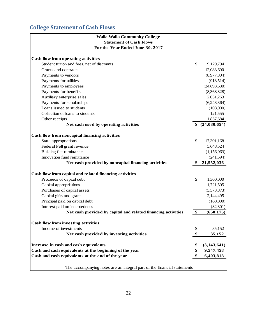# <span id="page-21-0"></span>**College Statement of Cash Flows**

| <b>Walla Walla Community College</b>                                    |                     |
|-------------------------------------------------------------------------|---------------------|
| <b>Statement of Cash Flows</b>                                          |                     |
| For the Year Ended June 30, 2017                                        |                     |
|                                                                         |                     |
| Cash flow from operating activities                                     |                     |
| Student tuition and fees, net of discounts                              | \$<br>9,129,794     |
| Grants and contracts                                                    | 12,083,690          |
| Payments to vendors                                                     | (8,977,804)         |
| Payments for utilities                                                  | (913,514)           |
| Payments to employees                                                   | (24, 693, 530)      |
| Payments for benefits                                                   | (8,368,328)         |
| Auxiliary enterprise sales                                              | 2,031,263           |
| Payments for scholarships                                               | (6,243,364)         |
| Loans issued to students                                                | (108,000)           |
| Collection of loans to students                                         | 121,555             |
| Other receipts                                                          | 1,857,584           |
| Net cash used by operating activities                                   | \$ (24,080,654)     |
|                                                                         |                     |
| Cash flow from noncapital financing activities                          |                     |
| State appropriations                                                    | \$<br>17,301,168    |
| Federal Pell grant revenue                                              | 5,648,524           |
| Building fee remittance                                                 | (1,156,063)         |
| Innovation fund remittance                                              | (241,594)           |
| Net cash provided by noncapital financing activities                    | 21,552,036          |
| Cash flow from capital and related financing activities                 |                     |
| Proceeds of capital debt                                                | \$<br>1,300,000     |
| Capital appropriations                                                  | 1,721,505           |
| Purchases of capital assets                                             | (5,573,873)         |
| Capital gifts and grants                                                | 2,144,495           |
| Principal paid on capital debt                                          | (160,000)           |
| Interest paid on indebtedness                                           | (82, 301)           |
| Net cash provided by capital and related financing activities           | \$<br>(650, 175)    |
| <b>Cash flow from investing activities</b>                              |                     |
| Income of investments                                                   | \$<br>35,152        |
| Net cash provided by investing activities                               | \$<br>35,152        |
|                                                                         |                     |
| Increase in cash and cash equivalents                                   | \$<br>(3, 143, 641) |
| Cash and cash equivalents at the beginning of the year                  | 9,547,458           |
| Cash and cash equivalents at the end of the year                        | 6,403,818           |
|                                                                         |                     |
| The accompanying notes are an integral part of the financial statements |                     |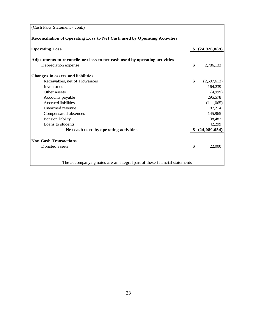| (Cash Flow Statement - cont.)                                                    |                   |
|----------------------------------------------------------------------------------|-------------------|
| <b>Reconciliation of Operating Loss to Net Cash used by Operating Activities</b> |                   |
| <b>Operating Loss</b>                                                            | (24, 926, 889)    |
| Adjustments to reconcile net loss to net cash used by operating activities       |                   |
| Depreciation expense                                                             | \$<br>2,786,133   |
| Changes in assets and liabilities                                                |                   |
| Receivables, net of allowances                                                   | \$<br>(2,597,612) |
| <b>Inventories</b>                                                               | 164,239           |
| Other assets                                                                     | (4,999)           |
| Accounts payable                                                                 | 295,578           |
| <b>Accrued liabilities</b>                                                       | (111,065)         |
| Unearned revenue                                                                 | 87,214            |
| Compensated absences                                                             | 145,965           |
| Pension liability                                                                | 38,482            |
| Loans to students                                                                | 42,299            |
| Net cash used by operating activities                                            | (24,080,654)      |
| <b>Non Cash Transactions</b>                                                     |                   |
| Donated assets                                                                   | \$<br>22,000      |
| The accompanying notes are an integral part of these financial statements        |                   |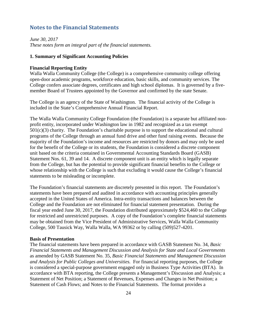### <span id="page-23-0"></span>**Notes to the Financial Statements**

*June 30, 2017 These notes form an integral part of the financial statements.*

#### **1. Summary of Significant Accounting Policies**

#### **Financial Reporting Entity**

Walla Walla Community College (the College) is a comprehensive community college offering open-door academic programs, workforce education, basic skills, and community services. The College confers associate degrees, certificates and high school diplomas. It is governed by a fivemember Board of Trustees appointed by the Governor and confirmed by the state Senate.

The College is an agency of the State of Washington. The financial activity of the College is included in the State's Comprehensive Annual Financial Report.

The Walla Walla Community College Foundation (the Foundation) is a separate but affiliated nonprofit entity, incorporated under Washington law in 1982 and recognized as a tax exempt  $501(c)(3)$  charity. The Foundation's charitable purpose is to support the educational and cultural programs of the College through an annual fund drive and other fund raising events. Because the majority of the Foundation's income and resources are restricted by donors and may only be used for the benefit of the College or its students, the Foundation is considered a discrete component unit based on the criteria contained in Governmental Accounting Standards Board (GASB) Statement Nos. 61, 39 and 14. A discrete component unit is an entity which is legally separate from the College, but has the potential to provide significant financial benefits to the College or whose relationship with the College is such that excluding it would cause the College's financial statements to be misleading or incomplete.

The Foundation's financial statements are discretely presented in this report. The Foundation's statements have been prepared and audited in accordance with accounting principles generally accepted in the United States of America. Intra-entity transactions and balances between the College and the Foundation are not eliminated for financial statement presentation. During the fiscal year ended June 30, 2017, the Foundation distributed approximately \$524,460 to the College for restricted and unrestricted purposes. A copy of the Foundation's complete financial statements may be obtained from the Vice President of Administrative Services, Walla Walla Community College, 500 Tausick Way, Walla Walla, WA 99362 or by calling (509)527-4201.

#### **Basis of Presentation**

The financial statements have been prepared in accordance with GASB Statement No. 34, *Basic Financial Statements and Management Discussion and Analysis for State and Local Governments*  as amended by GASB Statement No. 35, *Basic Financial Statements and Management Discussion and Analysis for Public Colleges and Universities.* For financial reporting purposes, the College is considered a special-purpose government engaged only in Business Type Activities (BTA). In accordance with BTA reporting, the College presents a Management's Discussion and Analysis; a Statement of Net Position; a Statement of Revenues, Expenses and Changes in Net Position; a Statement of Cash Flows; and Notes to the Financial Statements. The format provides a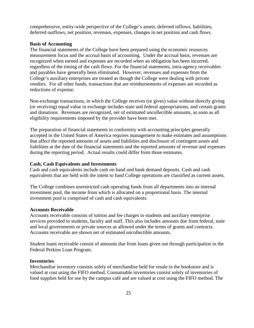comprehensive, entity-wide perspective of the College's assets, deferred inflows, liabilities, deferred outflows, net position, revenues, expenses, changes in net position and cash flows.

#### **Basis of Accounting**

The financial statements of the College have been prepared using the economic resources measurement focus and the accrual basis of accounting. Under the accrual basis, revenues are recognized when earned and expenses are recorded when an obligation has been incurred, regardless of the timing of the cash flows. For the financial statements, intra-agency receivables and payables have generally been eliminated. However, revenues and expenses from the College's auxiliary enterprises are treated as though the College were dealing with private vendors. For all other funds, transactions that are reimbursements of expenses are recorded as reductions of expense.

Non-exchange transactions, in which the College receives (or gives) value without directly giving (or receiving) equal value in exchange includes state and federal appropriations, and certain grants and donations. Revenues are recognized, net of estimated uncollectible amounts, as soon as all eligibility requirements imposed by the provider have been met.

The preparation of financial statements in conformity with accounting principles generally accepted in the United States of America requires management to make estimates and assumptions that affect the reported amounts of assets and liabilities and disclosure of contingent assets and liabilities at the date of the financial statements and the reported amounts of revenue and expenses during the reporting period. Actual results could differ from those estimates.

#### **Cash, Cash Equivalents and Investments**

Cash and cash equivalents include cash on hand and bank demand deposits. Cash and cash equivalents that are held with the intent to fund College operations are classified as current assets.

The College combines unrestricted cash operating funds from all departments into an internal investment pool, the income from which is allocated on a proportional basis. The internal investment pool is comprised of cash and cash equivalents.

#### **Accounts Receivable**

Accounts receivable consists of tuition and fee charges to students and auxiliary enterprise services provided to students, faculty and staff. This also includes amounts due from federal, state and local governments or private sources as allowed under the terms of grants and contracts. Accounts receivable are shown net of estimated uncollectible amounts.

Student loans receivable consist of amounts due from loans given out through participation in the Federal Perkins Loan Program.

#### **Inventories**

Merchandise inventory consists solely of merchandise held for resale in the bookstore and is valued at cost using the FIFO method. Consumable inventories consist solely of inventories of food supplies held for use by the campus café and are valued at cost using the FIFO method. The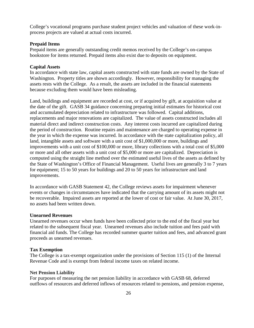College's vocational programs purchase student project vehicles and valuation of these work-inprocess projects are valued at actual costs incurred.

#### **Prepaid Items**

Prepaid items are generally outstanding credit memos received by the College's on-campus bookstore for items returned. Prepaid items also exist due to deposits on equipment.

#### **Capital Assets**

In accordance with state law, capital assets constructed with state funds are owned by the State of Washington. Property titles are shown accordingly. However, responsibility for managing the assets rests with the College. As a result, the assets are included in the financial statements because excluding them would have been misleading.

Land, buildings and equipment are recorded at cost, or if acquired by gift, at acquisition value at the date of the gift. GASB 34 guidance concerning preparing initial estimates for historical cost and accumulated depreciation related to infrastructure was followed. Capital additions, replacements and major renovations are capitalized. The value of assets constructed includes all material direct and indirect construction costs. Any interest costs incurred are capitalized during the period of construction. Routine repairs and maintenance are charged to operating expense in the year in which the expense was incurred. In accordance with the state capitalization policy, all land, intangible assets and software with a unit cost of \$1,000,000 or more, buildings and improvements with a unit cost of \$100,000 or more, library collections with a total cost of \$5,000 or more and all other assets with a unit cost of \$5,000 or more are capitalized. Depreciation is computed using the straight line method over the estimated useful lives of the assets as defined by the State of Washington's Office of Financial Management. Useful lives are generally 3 to 7 years for equipment; 15 to 50 years for buildings and 20 to 50 years for infrastructure and land improvements.

In accordance with GASB Statement 42, the College reviews assets for impairment whenever events or changes in circumstances have indicated that the carrying amount of its assets might not be recoverable. Impaired assets are reported at the lower of cost or fair value. At June 30, 2017, no assets had been written down.

#### **Unearned Revenues**

Unearned revenues occur when funds have been collected prior to the end of the fiscal year but related to the subsequent fiscal year. Unearned revenues also include tuition and fees paid with financial aid funds. The College has recorded summer quarter tuition and fees, and advanced grant proceeds as unearned revenues.

#### **Tax Exemption**

The College is a tax-exempt organization under the provisions of Section 115 (1) of the Internal Revenue Code and is exempt from federal income taxes on related income.

#### **Net Pension Liability**

For purposes of measuring the net pension liability in accordance with GASB 68, deferred outflows of resources and deferred inflows of resources related to pensions, and pension expense,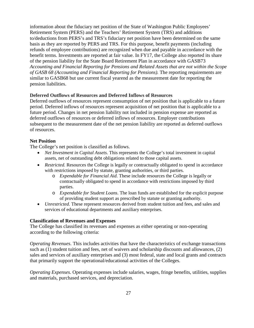information about the fiduciary net position of the State of Washington Public Employees' Retirement System (PERS) and the Teachers' Retirement System (TRS) and additions to/deductions from PERS's and TRS's fiduciary net position have been determined on the same basis as they are reported by PERS and TRS. For this purpose, benefit payments (including refunds of employee contributions) are recognized when due and payable in accordance with the benefit terms. Investments are reported at fair value. In FY17, the College also reported its share of the pension liability for the State Board Retirement Plan in accordance with GASB73 *Accounting and Financial Reporting for Pensions and Related Assets that are not within the Scope of GASB 68 (Accounting and Financial Reporting for Pensions).* The reporting requirements are similar to GASB68 but use current fiscal yearend as the measurement date for reporting the pension liabilities.

#### **Deferred Outflows of Resources and Deferred Inflows of Resources**

Deferred outflows of resources represent consumption of net position that is applicable to a future period. Deferred inflows of resources represent acquisition of net position that is applicable to a future period. Changes in net pension liability not included in pension expense are reported as deferred outflows of resources or deferred inflows of resources. Employer contributions subsequent to the measurement date of the net pension liability are reported as deferred outflows of resources.

### **Net Position**

The College's net position is classified as follows.

- *Net Investment in Capital Assets*. This represents the College's total investment in capital assets, net of outstanding debt obligations related to those capital assets.
- *Restricted.* Resources the College is legally or contractually obligated to spend in accordance with restrictions imposed by statute, granting authorities, or third parties.
	- o *Expendable for Financial Aid*. These include resources the College is legally or contractually obligated to spend in accordance with restrictions imposed by third parties.
	- o *Expendable for Student Loans*. The loan funds are established for the explicit purpose of providing student support as prescribed by statute or granting authority.
- *Unrestricted*. These represent resources derived from student tuition and fees, and sales and services of educational departments and auxiliary enterprises.

#### **Classification of Revenues and Expenses**

The College has classified its revenues and expenses as either operating or non-operating according to the following criteria:

*Operating Revenues*. This includes activities that have the characteristics of exchange transactions such as (1) student tuition and fees, net of waivers and scholarship discounts and allowances, (2) sales and services of auxiliary enterprises and (3) most federal, state and local grants and contracts that primarily support the operational/educational activities of the Colleges.

*Operating Expenses.* Operating expenses include salaries, wages, fringe benefits, utilities, supplies and materials, purchased services, and depreciation.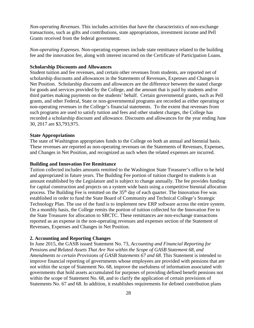*Non-operating Revenues*. This includes activities that have the characteristics of non-exchange transactions, such as gifts and contributions, state appropriations, investment income and Pell Grants received from the federal government.

*Non-operating Expenses.* Non-operating expenses include state remittance related to the building fee and the innovation fee, along with interest incurred on the Certificate of Participation Loans.

#### **Scholarship Discounts and Allowances**

Student tuition and fee revenues, and certain other revenues from students, are reported net of scholarship discounts and allowances in the Statements of Revenues, Expenses and Changes in Net Position. Scholarship discounts and allowances are the difference between the stated charge for goods and services provided by the College, and the amount that is paid by students and/or third parties making payments on the students' behalf. Certain governmental grants, such as Pell grants, and other Federal, State or non-governmental programs are recorded as either operating or non-operating revenues in the College's financial statements. To the extent that revenues from such programs are used to satisfy tuition and fees and other student charges, the College has recorded a scholarship discount and allowance. Discounts and allowances for the year ending June 30, 2017 are \$3,793,975.

#### **State Appropriations**

The state of Washington appropriates funds to the College on both an annual and biennial basis. These revenues are reported as non-operating revenues on the Statements of Revenues, Expenses, and Changes in Net Position, and recognized as such when the related expenses are incurred.

#### **Building and Innovation Fee Remittance**

Tuition collected includes amounts remitted to the Washington State Treasurer's office to be held and appropriated in future years. The Building Fee portion of tuition charged to students is an amount established by the Legislature and is subject to change annually. The fee provides funding for capital construction and projects on a system wide basis using a competitive biennial allocation process. The Building Fee is remitted on the 35<sup>th</sup> day of each quarter. The Innovation Fee was established in order to fund the State Board of Community and Technical College's Strategic Technology Plan. The use of the fund is to implement new ERP software across the entire system. On a monthly basis, the College remits the portion of tuition collected for the Innovation Fee to the State Treasurer for allocation to SBCTC. These remittances are non-exchange transactions reported as an expense in the non-operating revenues and expenses section of the Statement of Revenues, Expenses and Changes in Net Position.

#### **2. Accounting and Reporting Changes**

In June 2015, the GASB issued Statement No. 73, *Accounting and Financial Reporting for Pensions and Related Assets That Are Not within the Scope of GASB Statement 68, and Amendments to certain Provisions of GASB Statements 67 and 68*. This Statement is intended to improve financial reporting of governments whose employees are provided with pensions that are not within the scope of Statement No. 68, improve the usefulness of information associated with governments that hold assets accumulated for purposes of providing defined benefit pensions not within the scope of Statement No. 68, and to clarify the application of certain provisions of Statements No. 67 and 68. In addition, it establishes requirements for defined contribution plans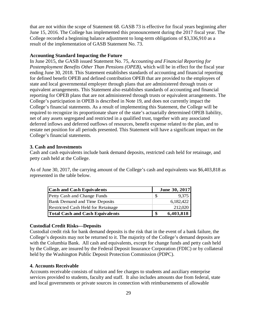that are not within the scope of Statement 68. GASB 73 is effective for fiscal years beginning after June 15, 2016. The College has implemented this pronouncement during the 2017 fiscal year. The College recorded a beginning balance adjustment to long-term obligations of \$3,336,910 as a result of the implementation of GASB Statement No. 73.

#### **Accounting Standard Impacting the Future**

In June 2015, the GASB issued Statement No. 75, *Accounting and Financial Reporting for Postemployment Benefits Other Than Pensions (OPEB),* which will be in effect for the fiscal year ending June 30, 2018. This Statement establishes standards of accounting and financial reporting for defined benefit OPEB and defined contribution OPEB that are provided to the employees of state and local governmental employer through plans that are administered through trusts or equivalent arrangements. This Statement also establishes standards of accounting and financial reporting for OPEB plans that are not administered through trusts or equivalent arrangements. The College's participation in OPEB is described in Note 19, and does not currently impact the College's financial statements. As a result of implementing this Statement, the College will be required to recognize its proportionate share of the state's actuarially determined OPEB liability, net of any assets segregated and restricted in a qualified trust, together with any associated deferred inflows and deferred outflows of resources, benefit expense related to the plan, and to restate net position for all periods presented. This Statement will have a significant impact on the College's financial statements.

#### **3. Cash and Investments**

Cash and cash equivalents include bank demand deposits, restricted cash held for retainage, and petty cash held at the College.

As of June 30, 2017, the carrying amount of the College's cash and equivalents was \$6,403,818 as represented in the table below.

| <b>Cash and Cash Equivalents</b>          |    | June 30, 2017 |
|-------------------------------------------|----|---------------|
| Petty Cash and Change Funds               | S  | 9,375         |
| <b>Bank Demand and Time Deposits</b>      |    | 6,182,422     |
| <b>Restricted Cash Held for Retainage</b> |    | 212,020       |
| <b>Total Cash and Cash Equivalents</b>    | \$ | 6,403,818     |

#### **Custodial Credit Risks—Deposits**

Custodial credit risk for bank demand deposits is the risk that in the event of a bank failure, the College's deposits may not be returned to it. The majority of the College's demand deposits are with the Columbia Bank. All cash and equivalents, except for change funds and petty cash held by the College, are insured by the Federal Deposit Insurance Corporation (FDIC) or by collateral held by the Washington Public Deposit Protection Commission (PDPC).

#### **4. Accounts Receivable**

Accounts receivable consists of tuition and fee charges to students and auxiliary enterprise services provided to students, faculty and staff. It also includes amounts due from federal, state and local governments or private sources in connection with reimbursements of allowable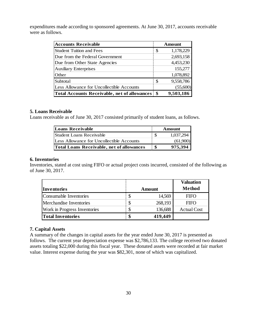expenditures made according to sponsored agreements. At June 30, 2017, accounts receivable were as follows.

| <b>Accounts Receivable</b>                          |    | Amount    |
|-----------------------------------------------------|----|-----------|
| <b>Student Tuition and Fees</b>                     | S  | 1,178,229 |
| Due from the Federal Government                     |    | 2,693,158 |
| Due from Other State Agencies                       |    | 4,453,230 |
| <b>Auxiliary Enterprises</b>                        |    | 155,277   |
| Other                                               |    | 1,078,892 |
| Subtotal                                            | S  | 9,558,786 |
| Less Allowance for Uncollectible Accounts           |    | (55,600)  |
| <b>Total Accounts Receivable, net of allowances</b> | \$ | 9,503,186 |

#### **5. Loans Receivable**

Loans receivable as of June 30, 2017 consisted primarily of student loans, as follows.

| <b>Loans Receivable</b>                          | Amount        |
|--------------------------------------------------|---------------|
| <b>Student Loans Receivable</b>                  | 1,037,294     |
| Less Allowance for Uncollectible Accounts        | (61,900)      |
| <b>Total Loans Receivable, net of allowances</b> | \$<br>975,394 |

#### **6. Inventories**

Inventories, stated at cost using FIFO or actual project costs incurred, consisted of the following as of June 30, 2017.

|                              |   |         | <b>Valuation</b>   |
|------------------------------|---|---------|--------------------|
| Inventories                  |   | Amount  | Method             |
| Consumable Inventories       |   | 14,569  | <b>FIFO</b>        |
| Merchandise Inventories      |   | 268,193 | <b>FIFO</b>        |
| Work in Progress Inventories | S | 136,688 | <b>Actual Cost</b> |
| <b>Total Inventories</b>     |   | 419,449 |                    |

#### **7. Capital Assets**

A summary of the changes in capital assets for the year ended June 30, 2017 is presented as follows. The current year depreciation expense was \$2,786,133. The college received two donated assets totaling \$22,000 during this fiscal year. These donated assets were recorded at fair market value. Interest expense during the year was \$82,301, none of which was capitalized.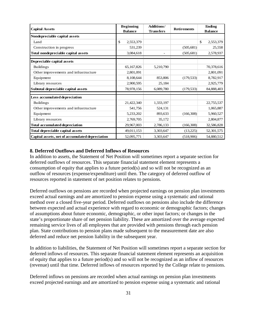| <b>Capital Assets</b>                           | <b>Beginning</b><br><b>Balance</b> | Additions/<br><b>Transfers</b> | <b>Retirements</b> | Ending<br><b>Balance</b> |  |
|-------------------------------------------------|------------------------------------|--------------------------------|--------------------|--------------------------|--|
| Nondepreciable capital assets                   |                                    |                                |                    |                          |  |
| Land                                            | \$<br>2,553,379                    |                                |                    | \$<br>2,553,379          |  |
| Construction in progress                        | 531,239                            |                                | (505, 681)         | 25,558                   |  |
| Total nondepreciable capital assets             | 3,084,618                          |                                | (505, 681)         | 2,578,937                |  |
| Depreciable capital assets                      |                                    |                                |                    |                          |  |
| <b>Buildings</b>                                | 65,167,826                         | 5,210,790                      |                    | 70,378,616               |  |
| Other improvements and infrastructure           | 2,801,091                          |                                |                    | 2,801,091                |  |
| Equipment                                       | 8,108,644                          | 853,806                        | (179, 533)         | 8,782,917                |  |
| Library resources                               | 2,900,595                          | 25,184                         |                    | 2,925,779                |  |
| Subtotal depreciable capital assets             | 78,978,156                         | 6,089,780                      | (179, 533)         | 84,888,403               |  |
| Less accumulated depreciation                   |                                    |                                |                    |                          |  |
| <b>Buildings</b>                                | 21,422,340                         | 1,333,197                      |                    | 22,755,537               |  |
| Other improvements and infrastructure           | 541,756                            | 524,131                        |                    | 1,065,887                |  |
| Equipment                                       | 5,233,202                          | 893,633                        | (166, 308)         | 5,960,527                |  |
| Library resources                               | 2,769,705                          | 35,172                         |                    | 2,804,877                |  |
| <b>Total accumulated depreciation</b>           | 29,967,003                         | 2,786,133                      | (166, 308)         | 32,586,828               |  |
| Total depreciable capital assets                | 49,011,153                         | 3,303,647                      | (13,225)           | 52,301,575               |  |
| Capital assets, net of accumulated depreciation | 52,095,771                         | 3,303,647                      | (518,906)          | 54,880,512               |  |

#### **8. Deferred Outflows and Deferred Inflows of Resources**

In addition to assets, the Statement of Net Position will sometimes report a separate section for deferred outflows of resources. This separate financial statement element represents a consumption of equity that applies to a future period(s) and so will not be recognized as an outflow of resources (expense/expenditure) until then. The category of deferred outflow of resources reported in statement of net position relates to pensions.

Deferred outflows on pensions are recorded when projected earnings on pension plan investments exceed actual earnings and are amortized to pension expense using a systematic and rational method over a closed five-year period. Deferred outflows on pensions also include the difference between expected and actual experience with regard to economic or demographic factors; changes of assumptions about future economic, demographic, or other input factors; or changes in the state's proportionate share of net pension liability. These are amortized over the average expected remaining service lives of all employees that are provided with pensions through each pension plan. State contributions to pension plans made subsequent to the measurement date are also deferred and reduce net pension liability in the subsequent year.

In addition to liabilities, the Statement of Net Position will sometimes report a separate section for deferred inflows of resources. This separate financial statement element represents an acquisition of equity that applies to a future period(s) and so will not be recognized as an inflow of resources (revenue) until that time. Deferred inflows of resources reported by the College relate to pensions.

Deferred inflows on pensions are recorded when actual earnings on pension plan investments exceed projected earnings and are amortized to pension expense using a systematic and rational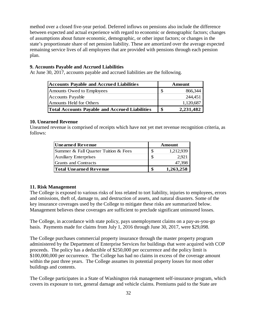method over a closed five-year period. Deferred inflows on pensions also include the difference between expected and actual experience with regard to economic or demographic factors; changes of assumptions about future economic, demographic, or other input factors; or changes in the state's proportionate share of net pension liability. These are amortized over the average expected remaining service lives of all employees that are provided with pensions through each pension plan.

#### **9. Accounts Payable and Accrued Liabilities**

At June 30, 2017, accounts payable and accrued liabilities are the following.

| <b>Accounts Payable and Accrued Liabilities</b>       |                   | Amount    |
|-------------------------------------------------------|-------------------|-----------|
| Amounts Owed to Employees                             | -\$               | 866,344   |
| <b>Accounts Payable</b>                               |                   | 244,451   |
| Amounts Held for Others                               |                   | 1,120,687 |
| <b>Total Accounts Payable and Accrued Liabilities</b> | $\boldsymbol{\$}$ | 2,231,482 |

#### **10. Unearned Revenue**

Unearned revenue is comprised of receipts which have not yet met revenue recognition criteria, as follows:

| Unearned Revenue                     | Amount |           |  |  |
|--------------------------------------|--------|-----------|--|--|
| Summer & Fall Quarter Tuition & Fees |        | 1,212,939 |  |  |
| <b>Auxiliary Enterprises</b>         | \$     | 2.921     |  |  |
| Grants and Contracts                 |        | 47,398    |  |  |
| <b>Total Unearned Revenue</b>        |        | 1,263,258 |  |  |

#### **11. Risk Management**

The College is exposed to various risks of loss related to tort liability, injuries to employees, errors and omissions, theft of, damage to, and destruction of assets, and natural disasters. Some of the key insurance coverages used by the College to mitigate these risks are summarized below. Management believes these coverages are sufficient to preclude significant uninsured losses.

The College, in accordance with state policy, pays unemployment claims on a pay-as-you-go basis. Payments made for claims from July 1, 2016 through June 30, 2017, were \$29,098.

The College purchases commercial property insurance through the master property program administered by the Department of Enterprise Services for buildings that were acquired with COP proceeds. The policy has a deductible of \$250,000 per occurrence and the policy limit is \$100,000,000 per occurrence. The College has had no claims in excess of the coverage amount within the past three years. The College assumes its potential property losses for most other buildings and contents.

The College participates in a State of Washington risk management self-insurance program, which covers its exposure to tort, general damage and vehicle claims. Premiums paid to the State are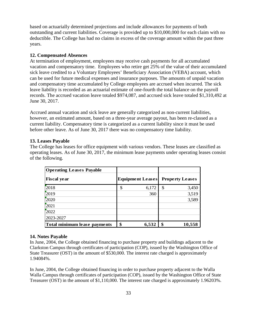based on actuarially determined projections and include allowances for payments of both outstanding and current liabilities. Coverage is provided up to \$10,000,000 for each claim with no deductible. The College has had no claims in excess of the coverage amount within the past three years.

#### **12. Compensated Absences**

At termination of employment, employees may receive cash payments for all accumulated vacation and compensatory time. Employees who retire get 25% of the value of their accumulated sick leave credited to a Voluntary Employees' Beneficiary Association (VEBA) account, which can be used for future medical expenses and insurance purposes. The amounts of unpaid vacation and compensatory time accumulated by College employees are accrued when incurred. The sick leave liability is recorded as an actuarial estimate of one-fourth the total balance on the payroll records. The accrued vacation leave totaled \$974,087, and accrued sick leave totaled \$1,310,492 at June 30, 2017.

Accrued annual vacation and sick leave are generally categorized as non-current liabilities, however, an estimated amount, based on a three-year average payout, has been re-classed as a current liability. Compensatory time is categorized as a current liability since it must be used before other leave. As of June 30, 2017 there was no compensatory time liability.

#### **13. Leases Payable**

The College has leases for office equipment with various vendors. These leases are classified as operating leases. As of June 30, 2017, the minimum lease payments under operating leases consist of the following.

| <b>Operating Leases Payable</b> |                         |    |                        |
|---------------------------------|-------------------------|----|------------------------|
| <b>Fiscal year</b>              | <b>Equipment Leases</b> |    | <b>Property Leases</b> |
| 2018                            | \$<br>6,172             | \$ | 3,450                  |
| 2019                            | 360                     |    | 3,519                  |
| 2020                            |                         |    | 3,589                  |
| 2021                            |                         |    |                        |
| 2022                            |                         |    |                        |
| 2023-2027                       |                         |    |                        |
| Total minimum lease payments    | \$<br>6,532             | £. | 10,558                 |

#### **14. Notes Payable**

In June, 2004, the College obtained financing to purchase property and buildings adjacent to the Clarkston Campus through certificates of participation (COP), issued by the Washington Office of State Treasurer (OST) in the amount of \$530,000. The interest rate charged is approximately 1.94084%.

In June, 2004, the College obtained financing in order to purchase property adjacent to the Walla Walla Campus through certificates of participation (COP), issued by the Washington Office of State Treasurer (OST) in the amount of \$1,110,000. The interest rate charged is approximately 1.96203%.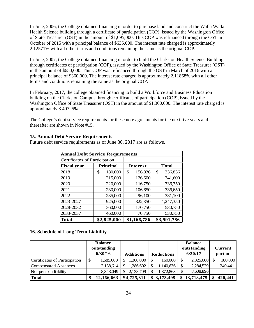In June, 2006, the College obtained financing in order to purchase land and construct the Walla Walla Health Science building through a certificate of participation (COP), issued by the Washington Office of State Treasurer (OST) in the amount of \$1,095,000. This COP was refinanced through the OST in October of 2015 with a principal balance of \$635,000. The interest rate charged is approximately 2.12571% with all other terms and conditions remaining the same as the original COP.

In June, 2007, the College obtained financing in order to build the Clarkston Health Science Building through certificates of participation (COP), issued by the Washington Office of State Treasurer (OST) in the amount of \$650,000. This COP was refinanced through the OST in March of 2016 with a principal balance of \$360,000. The interest rate charged is approximately 2.11868% with all other terms and conditions remaining the same as the original COP.

In February, 2017, the college obtained financing to build a Workforce and Business Education building on the Clarkston Campus through certificates of participation (COP), issued by the Washington Office of State Treasurer (OST) in the amount of \$1,300,000. The interest rate charged is approximately 3.40725%.

The College's debt service requirements for these note agreements for the next five years and thereafter are shown in Note #15.

#### **15. Annual Debt Service Requirements**

Future debt service requirements as of June 30, 2017 are as follows.

| <b>Annual Debt Service Requirements</b> |                  |                 |               |  |  |  |  |
|-----------------------------------------|------------------|-----------------|---------------|--|--|--|--|
| Certificates of Participation           |                  |                 |               |  |  |  |  |
| <b>Fiscal year</b>                      | <b>Principal</b> | <b>Interest</b> | Total         |  |  |  |  |
| 2018                                    | 180,000<br>\$    | \$<br>156,836   | \$<br>336,836 |  |  |  |  |
| 2019                                    | 215,000          | 126,600         | 341,600       |  |  |  |  |
| 2020                                    | 220,000          | 116,750         | 336,750       |  |  |  |  |
| 2021                                    | 230,000          | 106,650         | 336,650       |  |  |  |  |
| 2022                                    | 235,000          | 96,100          | 331,100       |  |  |  |  |
| 2023-2027                               | 925,000          | 322,350         | 1,247,350     |  |  |  |  |
| 2028-2032                               | 360,000          | 170,750         | 530,750       |  |  |  |  |
| 2033-2037                               | 460,000          | 70,750          | 530,750       |  |  |  |  |
| <b>Total</b>                            | \$2,825,000      | \$1,166,786     | \$3,991,786   |  |  |  |  |

#### **16. Schedule of Long Term Liability**

|                               | <b>Balance</b>   |   |                  |                   | <b>Balance</b> |                |
|-------------------------------|------------------|---|------------------|-------------------|----------------|----------------|
|                               | outstanding      |   |                  |                   | outstanding    | <b>Current</b> |
|                               | 6/30/16          |   | <b>Additions</b> | <b>Reductions</b> | 6/30/17        | portion        |
| Certificates of Participation | 1,685,000        | S | 1,300,000        | 160,000           | 2,825,000      | 180,000        |
| <b>Compensated Absences</b>   | 2,138,614        |   | 1,286,602        | 1,140,636         | 2,284,579      | 240,441        |
| Net pension liability         | 8,343,049        |   | 2.138.709        | 1,872,863         | 8,608,896      |                |
| <b>Total</b>                  | \$<br>12,166,663 |   | \$4,725,311      | \$3,173,499       | \$13,718,475   | 420,441        |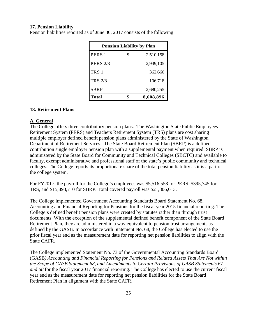#### **17. Pension Liability**

| <b>Pension Liability by Plan</b> |    |           |  |  |  |  |  |
|----------------------------------|----|-----------|--|--|--|--|--|
| PERS <sub>1</sub>                | \$ | 2,510,158 |  |  |  |  |  |
| <b>PERS 2/3</b>                  |    | 2,949,105 |  |  |  |  |  |
| TRS <sub>1</sub>                 |    | 362,660   |  |  |  |  |  |
| <b>TRS 2/3</b>                   |    | 106,718   |  |  |  |  |  |
| <b>SBRP</b>                      |    | 2,680,255 |  |  |  |  |  |
| <b>Total</b>                     |    | 8,608,896 |  |  |  |  |  |

Pension liabilities reported as of June 30, 2017 consists of the following:

#### **18. Retirement Plans**

#### **A. General**

The College offers three contributory pension plans. The Washington State Public Employees Retirement System (PERS) and Teachers Retirement System (TRS) plans are cost sharing multiple employer defined benefit pension plans administered by the State of Washington Department of Retirement Services. The State Board Retirement Plan (SBRP) is a defined contribution single employer pension plan with a supplemental payment when required. SBRP is administered by the State Board for Community and Technical Colleges (SBCTC) and available to faculty, exempt administrative and professional staff of the state's public community and technical colleges. The College reports its proportionate share of the total pension liability as it is a part of the college system.

For FY2017, the payroll for the College's employees was \$5,516,558 for PERS, \$395,745 for TRS, and \$15,893,710 for SBRP. Total covered payroll was \$21,806,013.

The College implemented Government Accounting Standards Board Statement No. 68, Accounting and Financial Reporting for Pensions for the fiscal year 2015 financial reporting. The College's defined benefit pension plans were created by statutes rather than through trust documents. With the exception of the supplemental defined benefit component of the State Board Retirement Plan, they are administered in a way equivalent to pension trust arrangements as defined by the GASB. In accordance with Statement No. 68, the College has elected to use the prior fiscal year end as the measurement date for reporting net pension liabilities to align with the State CAFR.

The College implemented Statement No. 73 of the Governmental Accounting Standards Board (GASB*) Accounting and Financial Reporting for Pensions and Related Assets That Are Not within the Scope of GASB Statement 68, and Amendments to Certain Provisions of GASB Statements 67 and 68* for the fiscal year 2017 financial reporting. The College has elected to use the current fiscal year end as the measurement date for reporting net pension liabilities for the State Board Retirement Plan in alignment with the State CAFR.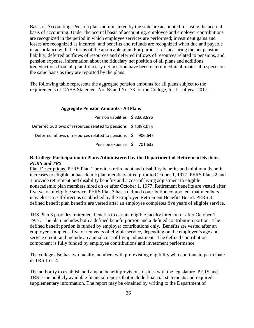Basis of Accounting: Pension plans administered by the state are accounted for using the accrual basis of accounting. Under the accrual basis of accounting, employee and employer contributions are recognized in the period in which employee services are performed; investment gains and losses are recognized as incurred; and benefits and refunds are recognized when due and payable in accordance with the terms of the applicable plan. For purposes of measuring the net pension liability, deferred outflows of resources and deferred inflows of resources related to pensions, and pension expense, information about the fiduciary net position of all plans and additions to/deductions from all plan fiduciary net position have been determined in all material respects on the same basis as they are reported by the plans.

The following table represents the aggregate pension amounts for all plans subject to the requirements of GASB Statement No. 68 and No. 73 for the College, for fiscal year 2017:

#### **Aggregate Pension Amounts - All Plans**

| Pension liabilities \$8,608,896                                |  |
|----------------------------------------------------------------|--|
| Deferred outflows of resources related to pensions \$1,393,025 |  |
| Deferred inflows of resources related to pensions \$906,647    |  |
| Pension expense \$ 701,633                                     |  |

#### **B. College Participation in Plans Administered by the Department of Retirement Systems** *PERS and TRS*

Plan Descriptions. PERS Plan 1 provides retirement and disability benefits and minimum benefit increases to eligible nonacademic plan members hired prior to October 1, 1977. PERS Plans 2 and 3 provide retirement and disability benefits and a cost-of-living adjustment to eligible nonacademic plan members hired on or after October 1, 1977. Retirement benefits are vested after five years of eligible service. PERS Plan 3 has a defined contribution component that members may elect to self-direct as established by the Employee Retirement Benefits Board. PERS 3 defined benefit plan benefits are vested after an employee completes five years of eligible service.

TRS Plan 3 provides retirement benefits to certain eligible faculty hired on or after October 1, 1977. The plan includes both a defined benefit portion and a defined contribution portion. The defined benefit portion is funded by employer contributions only. Benefits are vested after an employee completes five or ten years of eligible service, depending on the employee's age and service credit, and include an annual cost-of living adjustment. The defined contribution component is fully funded by employee contributions and investment performance.

The college also has two faculty members with pre-existing eligibility who continue to participate in TRS 1 or 2.

The authority to establish and amend benefit provisions resides with the legislature. PERS and TRS issue publicly available financial reports that include financial statements and required supplementary information. The report may be obtained by writing to the Department of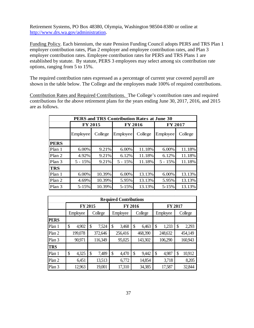Retirement Systems, PO Box 48380, Olympia, Washington 98504-8380 or online at [http://www.drs.wa.gov/administration.](http://www.drs.wa.gov/administration)

Funding Policy. Each biennium, the state Pension Funding Council adopts PERS and TRS Plan 1 employer contribution rates, Plan 2 employer and employee contribution rates, and Plan 3 employer contribution rates. Employee contribution rates for PERS and TRS Plans 1 are established by statute. By statute, PERS 3 employees may select among six contribution rate options, ranging from 5 to 15%.

The required contribution rates expressed as a percentage of current year covered payroll are shown in the table below. The College and the employees made 100% of required contributions.

Contribution Rates and Required Contributions. The College's contribution rates and required contributions for the above retirement plans for the years ending June 30, 2017, 2016, and 2015 are as follows.

|             | PERS and TRS Contribution Rates at June 30 |         |                |         |                |         |  |  |  |  |  |  |  |
|-------------|--------------------------------------------|---------|----------------|---------|----------------|---------|--|--|--|--|--|--|--|
|             | <b>FY 2015</b>                             |         | <b>FY 2016</b> |         | <b>FY 2017</b> |         |  |  |  |  |  |  |  |
|             | Employee                                   | College | Employee       | College | Employee       | College |  |  |  |  |  |  |  |
| <b>PERS</b> |                                            |         |                |         |                |         |  |  |  |  |  |  |  |
| Plan 1      | 6.00%                                      | 9.21%   | 6.00%          | 11.18%  | 6.00%          | 11.18%  |  |  |  |  |  |  |  |
| Plan 2      | 4.92%                                      | 9.21%   | 6.12%          | 11.18%  | 6.12%          | 11.18%  |  |  |  |  |  |  |  |
| Plan 3      | $5 - 15%$                                  | 9.21%   | $5 - 15%$      | 11.18%  | $5 - 15%$      | 11.18%  |  |  |  |  |  |  |  |
| <b>TRS</b>  |                                            |         |                |         |                |         |  |  |  |  |  |  |  |
| Plan 1      | 6.00%                                      | 10.39%  | 6.00%          | 13.13%  | 6.00%          | 13.13%  |  |  |  |  |  |  |  |
| Plan 2      | 4.69%                                      | 10.39%  | 5.95%          | 13.13%  | 5.95%          | 13.13%  |  |  |  |  |  |  |  |
| Plan 3      | 5-15%                                      | 10.39%  | 5-15%          | 13.13%  | 5-15%          | 13.13%  |  |  |  |  |  |  |  |

| <b>Required Contributions</b> |             |             |             |             |             |              |  |  |  |  |  |  |  |
|-------------------------------|-------------|-------------|-------------|-------------|-------------|--------------|--|--|--|--|--|--|--|
|                               |             | FY 2015     |             | FY 2016     | FY 2017     |              |  |  |  |  |  |  |  |
|                               | Employee    | College     | Employee    | College     | Employee    | College      |  |  |  |  |  |  |  |
| <b>PERS</b>                   |             |             |             |             |             |              |  |  |  |  |  |  |  |
| Plan 1                        | 4,902<br>\$ | \$<br>7,524 | \$<br>3,468 | \$<br>6,463 | \$<br>1,233 | 2,293        |  |  |  |  |  |  |  |
| Plan 2                        | 199,078     | 372,646     | 256,416     | 468,390     | 248,632     | 454,149      |  |  |  |  |  |  |  |
| Plan 3                        | 90,971      | 116,349     | 95,025      | 143,302     | 106,290     | 160,943      |  |  |  |  |  |  |  |
| <b>TRS</b>                    |             |             |             |             |             |              |  |  |  |  |  |  |  |
| Plan 1                        | 4,325<br>\$ | 7,489<br>\$ | \$<br>4,470 | \$<br>9,442 | 4,987<br>\$ | 10,912<br>\$ |  |  |  |  |  |  |  |
| Plan 2                        | 6,451       | 13,513      | 6,772       | 14,854      | 3,718       | 8,205        |  |  |  |  |  |  |  |
| Plan 3                        | 12,963      | 19,001      | 17,310      | 34,385      | 17,587      | 32,844       |  |  |  |  |  |  |  |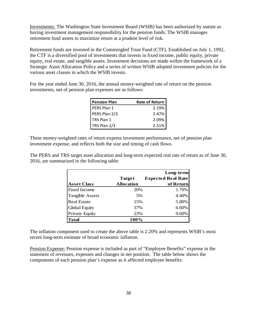Investments: The Washington State Investment Board (WSIB) has been authorized by statute as having investment management responsibility for the pension funds. The WSIB manages retirement fund assets to maximize return at a prudent level of risk.

Retirement funds are invested in the Commingled Trust Fund (CTF). Established on July 1, 1992, the CTF is a diversified pool of investments that invests in fixed income, public equity, private equity, real estate, and tangible assets. Investment decisions are made within the framework of a Strategic Asset Allocation Policy and a series of written WSIB adopted investment policies for the various asset classes in which the WSIB invests.

For the year ended June 30, 2016, the annual money-weighted rate of return on the pension investments, net of pension plan expenses are as follows:

| <b>Pension Plan</b> | <b>Rate of Return</b> |
|---------------------|-----------------------|
| PERS Plan 1         | 2.19%                 |
| PERS Plan 2/3       | 2.47%                 |
| TRS Plan 1          | 2.09%                 |
| TRS Plan 2/3        | 2.51%                 |

These money-weighted rates of return express investment performance, net of pension plan investment expense, and reflects both the size and timing of cash flows.

The PERS and TRS target asset allocation and long-term expected real rate of return as of June 30, 2016, are summarized in the following table:

|                        |                   | Long-term                 |
|------------------------|-------------------|---------------------------|
|                        | <b>Target</b>     | <b>Expected Real Rate</b> |
| <b>Asset Class</b>     | <b>Allocation</b> | of Return                 |
| <b>Fixed Income</b>    | 20%               | 1.70%                     |
| <b>Tangible Assets</b> | 5%                | 4.40%                     |
| <b>Real Estate</b>     | 15%               | 5.80%                     |
| <b>Global Equity</b>   | 37%               | 6.60%                     |
| <b>Private Equity</b>  | 23%               | 9.60%                     |
| <b>Total</b>           | 100%              |                           |

The inflation component used to create the above table is 2.20% and represents WSIB's most recent long-term estimate of broad economic inflation.

Pension Expense: Pension expense is included as part of "Employee Benefits" expense in the statement of revenues, expenses and changes in net position. The table below shows the components of each pension plan's expense as it affected employee benefits: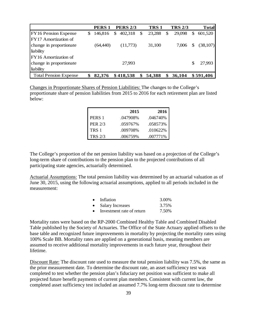|                              | PERS <sub>1</sub> |     | <b>PERS 2/3</b> |               | <b>TRS1</b> | <b>TRS 2/3</b> |     | <b>Total</b> |
|------------------------------|-------------------|-----|-----------------|---------------|-------------|----------------|-----|--------------|
| <b>FY16 Pension Expense</b>  | \$146,816         | \$. | 402,318         | <sup>\$</sup> | 23,288      | \$<br>29,098   | \$. | 601,520      |
| IFY17 Amortization of        |                   |     |                 |               |             |                |     |              |
| change in proportionate      | (64,440)          |     | (11,773)        |               | 31,100      | 7.006          | \$  | (38,107)     |
| liability                    |                   |     |                 |               |             |                |     |              |
| FY16 Amortization of         |                   |     |                 |               |             |                |     |              |
| change in proportionate      |                   |     | 27,993          |               |             |                | \$  | 27.993       |
| liability                    |                   |     |                 |               |             |                |     |              |
| <b>Total Pension Expense</b> | 82,376            |     | \$418,538       | \$            | 54,388      | \$<br>36,104   |     | \$591,406    |

Changes in Proportionate Shares of Pension Liabilities: The changes to the College's proportionate share of pension liabilities from 2015 to 2016 for each retirement plan are listed below:

|                | 2015     | 2016     |
|----------------|----------|----------|
| PERS 1         | .047908% | .046740% |
| <b>PER 2/3</b> | .059767% | .058573% |
| TRS 1          | .009708% | .010622% |
| <b>TRS 2/3</b> | .006759% | .007771% |

The College's proportion of the net pension liability was based on a projection of the College's long-term share of contributions to the pension plan to the projected contributions of all participating state agencies, actuarially determined.

Actuarial Assumptions: The total pension liability was determined by an actuarial valuation as of June 30, 2015, using the following actuarial assumptions, applied to all periods included in the measurement:

| $\bullet$ | Inflation                 | 3.00% |
|-----------|---------------------------|-------|
| $\bullet$ | <b>Salary Increases</b>   | 3.75% |
| $\bullet$ | Investment rate of return | 7.50% |

Mortality rates were based on the RP-2000 Combined Healthy Table and Combined Disabled Table published by the Society of Actuaries. The Office of the State Actuary applied offsets to the base table and recognized future improvements in mortality by projecting the mortality rates using 100% Scale BB. Mortality rates are applied on a generational basis, meaning members are assumed to receive additional mortality improvements in each future year, throughout their lifetime.

Discount Rate: The discount rate used to measure the total pension liability was 7.5%, the same as the prior measurement date. To determine the discount rate, an asset sufficiency test was completed to test whether the pension plan's fiduciary net position was sufficient to make all projected future benefit payments of current plan members. Consistent with current law, the completed asset sufficiency test included an assumed 7.7% long-term discount rate to determine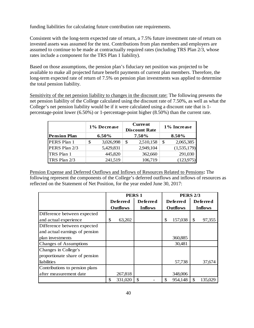funding liabilities for calculating future contribution rate requirements.

Consistent with the long-term expected rate of return, a 7.5% future investment rate of return on invested assets was assumed for the test. Contributions from plan members and employers are assumed to continue to be made at contractually required rates (including TRS Plan 2/3, whose rates include a component for the TRS Plan 1 liability).

Based on those assumptions, the pension plan's fiduciary net position was projected to be available to make all projected future benefit payments of current plan members. Therefore, the long-term expected rate of return of 7.5% on pension plan investments was applied to determine the total pension liability.

Sensitivity of the net pension liability to changes in the discount rate: The following presents the net pension liability of the College calculated using the discount rate of 7.50%, as well as what the College's net pension liability would be if it were calculated using a discount rate that is 1 percentage-point lower (6.50%) or 1-percentage-point higher (8.50%) than the current rate.

|                     | 1% Decrease     | <b>Current</b><br><b>Discount Rate</b> | 1% Increase     |
|---------------------|-----------------|----------------------------------------|-----------------|
| <b>Pension Plan</b> | $6.50\%$        | 7.50%                                  | 8.50%           |
| PERS Plan 1         | \$<br>3,026,998 | \$<br>2,510,158                        | \$<br>2,065,385 |
| PERS Plan 2/3       | 5,429,831       | 2,949,104                              | (1,535,179)     |
| TRS Plan 1          | 445,820         | 362,660                                | 291,030         |
| TRS Plan 2/3        | 241,519         | 106,719                                | (123, 975)      |

Pension Expense and Deferred Outflows and Inflows of Resources Related to Pensions**:** The following represent the components of the College's deferred outflows and inflows of resources as reflected on the Statement of Net Position, for the year ended June 30, 2017:

|                                | <b>PERS 1</b>   |                 |                 | <b>PERS 2/3</b> |                |
|--------------------------------|-----------------|-----------------|-----------------|-----------------|----------------|
|                                | De ferred       | <b>Deferred</b> | <b>Deferred</b> | De ferred       |                |
|                                | <b>Outflows</b> | <b>Inflows</b>  | <b>Outflows</b> |                 | <b>Inflows</b> |
| Difference between expected    |                 |                 |                 |                 |                |
| and actual experience          | \$<br>63,202    |                 | \$<br>157,038   | \$              | 97,355         |
| Difference between expected    |                 |                 |                 |                 |                |
| and actual earnings of pension |                 |                 |                 |                 |                |
| plan investments               |                 |                 | 360,885         |                 |                |
| <b>Changes of Assumptions</b>  |                 |                 | 30,481          |                 |                |
| Changes in College's           |                 |                 |                 |                 |                |
| proportionate share of pension |                 |                 |                 |                 |                |
| liabilities                    |                 |                 | 57,738          |                 | 37,674         |
| Contributions to pension plans |                 |                 |                 |                 |                |
| after measurement date         | 267,818         |                 | 348,006         |                 |                |
|                                | \$<br>331,020   | S               | \$<br>954,148   | \$              | 135,029        |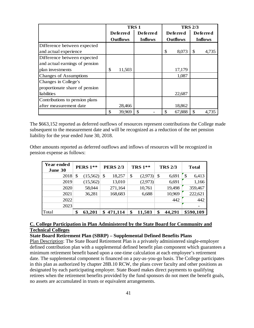|                                | <b>TRS1</b> |                 |                 |                |    |                 | <b>TRS 2/3</b>  |                |
|--------------------------------|-------------|-----------------|-----------------|----------------|----|-----------------|-----------------|----------------|
|                                |             | Deferred        | <b>Deferred</b> |                |    | <b>Deferred</b> | <b>Deferred</b> |                |
|                                |             | <b>Outflows</b> |                 | <b>Inflows</b> |    | <b>Outflows</b> |                 | <b>Inflows</b> |
| Difference between expected    |             |                 |                 |                |    |                 |                 |                |
| and actual experience          |             |                 |                 |                | \$ | 8,073           | \$              | 4,735          |
| Difference between expected    |             |                 |                 |                |    |                 |                 |                |
| and actual earnings of pension |             |                 |                 |                |    |                 |                 |                |
| plan investments               | \$          | 11,503          |                 |                |    | 17,179          |                 |                |
| <b>Changes of Assumptions</b>  |             |                 |                 |                |    | 1,087           |                 |                |
| Changes in College's           |             |                 |                 |                |    |                 |                 |                |
| proportionate share of pension |             |                 |                 |                |    |                 |                 |                |
| liabilities                    |             |                 |                 |                |    | 22,687          |                 |                |
| Contributions to pension plans |             |                 |                 |                |    |                 |                 |                |
| after measurement date         |             | 28,466          |                 |                |    | 18,862          |                 |                |
|                                | \$          | 39,969          |                 |                | \$ | 67,888          | \$              | 4.735          |

The \$663,152 reported as deferred outflows of resources represent contributions the College made subsequent to the measurement date and will be recognized as a reduction of the net pension liability for the year ended June 30, 2018.

Other amounts reported as deferred outflows and inflows of resources will be recognized in pension expense as follows:

| Year ended<br>June 30 | <b>PERS 1**</b> | <b>PERS 2/3</b> | <b>TRS 1**</b> |         |    | <b>TRS 2/3</b> |     | <b>Total</b> |
|-----------------------|-----------------|-----------------|----------------|---------|----|----------------|-----|--------------|
| 2018                  | \$<br>(15,562)  | \$<br>18,257    | \$             | (2,973) | S  | 6,691          | \$. | 6,413        |
| 2019                  | (15,562)        | 13,010          |                | (2,973) |    | 6,691          |     | 1,166        |
| 2020                  | 58,044          | 271,164         |                | 10,761  |    | 19,498         |     | 359,467      |
| 2021                  | 36,281          | 168,683         |                | 6,688   |    | 10,969         |     | 222,621      |
| 2022                  |                 |                 |                |         |    | 442            |     | 442          |
| 2023                  |                 |                 |                |         |    |                |     |              |
| Total                 | \$<br>63,201    | \$<br>471,114   | \$             | 11,503  | \$ | 44,291         |     | \$590,109    |

#### **C. College Participation in Plan Administered by the State Board for Community and Technical Colleges**

### **State Board Retirement Plan (SBRP) – Supplemental Defined Benefits Plans**

Plan Description: The State Board Retirement Plan is a privately administered single-employer defined contribution plan with a supplemental defined benefit plan component which guarantees a minimum retirement benefit based upon a one-time calculation at each employee's retirement date. The supplemental component is financed on a pay-as-you-go basis. The College participates in this plan as authorized by chapter 28B.10 RCW, the plans cover faculty and other positions as designated by each participating employer. State Board makes direct payments to qualifying retirees when the retirement benefits provided by the fund sponsors do not meet the benefit goals, no assets are accumulated in trusts or equivalent arrangements.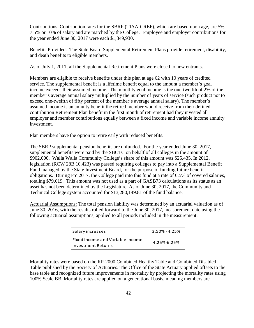Contributions. Contribution rates for the SBRP (TIAA-CREF), which are based upon age, are 5%, 7.5% or 10% of salary and are matched by the College. Employee and employer contributions for the year ended June 30, 2017 were each \$1,349,930.

Benefits Provided. The State Board Supplemental Retirement Plans provide retirement, disability, and death benefits to eligible members.

As of July 1, 2011, all the Supplemental Retirement Plans were closed to new entrants.

Members are eligible to receive benefits under this plan at age 62 with 10 years of credited service. The supplemental benefit is a lifetime benefit equal to the amount a member's goal income exceeds their assumed income. The monthly goal income is the one-twelfth of 2% of the member's average annual salary multiplied by the number of years of service (such product not to exceed one-twelfth of fifty percent of the member's average annual salary). The member's assumed income is an annuity benefit the retired member would receive from their defined contribution Retirement Plan benefit in the first month of retirement had they invested all employer and member contributions equally between a fixed income and variable income annuity investment.

Plan members have the option to retire early with reduced benefits.

The SBRP supplemental pension benefits are unfunded. For the year ended June 30, 2017, supplemental benefits were paid by the SBCTC on behalf of all colleges in the amount of \$902,000. Walla Walla Community College's share of this amount was \$25,435. In 2012, legislation (RCW 28B.10.423) was passed requiring colleges to pay into a Supplemental Benefit Fund managed by the State Investment Board, for the purpose of funding future benefit obligations. During FY 2017, the College paid into this fund at a rate of 0.5% of covered salaries, totaling \$79,619. This amount was not used as a part of GASB73 calculations as its status as an asset has not been determined by the Legislature. As of June 30, 2017, the Community and Technical College system accounted for \$13,280,149.81 of the fund balance.

Actuarial Assumptions: The total pension liability was determined by an actuarial valuation as of June 30, 2016, with the results rolled forward to the June 30, 2017, measurement date using the following actuarial assumptions, applied to all periods included in the measurement:

| Salary increases                                       | $3.50\% - 4.25\%$ |
|--------------------------------------------------------|-------------------|
| Fixed Income and Variable Income<br>Investment Returns | $4.25\% - 6.25\%$ |

Mortality rates were based on the RP-2000 Combined Healthy Table and Combined Disabled Table published by the Society of Actuaries. The Office of the State Actuary applied offsets to the base table and recognized future improvements in mortality by projecting the mortality rates using 100% Scale BB. Mortality rates are applied on a generational basis, meaning members are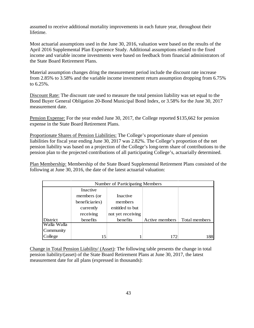assumed to receive additional mortality improvements in each future year, throughout their lifetime.

Most actuarial assumptions used in the June 30, 2016, valuation were based on the results of the April 2016 Supplemental Plan Experience Study. Additional assumptions related to the fixed income and variable income investments were based on feedback from financial administrators of the State Board Retirement Plans.

Material assumption changes dring the measurement period include the discount rate increase from 2.85% to 3.58% and the variable income investment return assumption dropping from 6.75% to 6.25%.

Discount Rate: The discount rate used to measure the total pension liability was set equal to the Bond Buyer General Obligation 20-Bond Municipal Bond Index, or 3.58% for the June 30, 2017 measurement date.

Pension Expense: For the year ended June 30, 2017, the College reported \$135,662 for pension expense in the State Board Retirement Plans.

Proportionate Shares of Pension Liabilities: The College's proportionate share of pension liabilities for fiscal year ending June 30, 2017 was 2.82%. The College's proportion of the net pension liability was based on a projection of the College's long-term share of contributions to the pension plan to the projected contributions of all participating College's, actuarially determined.

Plan Membership: Membership of the State Board Supplemental Retirement Plans consisted of the following at June 30, 2016, the date of the latest actuarial valuation:

| Number of Participating Members |                |                   |                |               |  |  |  |  |  |
|---------------------------------|----------------|-------------------|----------------|---------------|--|--|--|--|--|
|                                 | Inactive       |                   |                |               |  |  |  |  |  |
|                                 | members (or    | Inactive          |                |               |  |  |  |  |  |
|                                 | beneficiaries) | members           |                |               |  |  |  |  |  |
|                                 | currently      | enititled to but  |                |               |  |  |  |  |  |
|                                 | receiving      | not yet receiving |                |               |  |  |  |  |  |
| District                        | benefits       | benefits          | Active members | Total members |  |  |  |  |  |
| Walla Walla                     |                |                   |                |               |  |  |  |  |  |
| Community                       |                |                   |                |               |  |  |  |  |  |
| College                         | 15             |                   | 172            | 1881          |  |  |  |  |  |

Change in Total Pension Liability/ (Asset): The following table presents the change in total pension liability/(asset) of the State Board Retirement Plans at June 30, 2017, the latest measurement date for all plans (expressed in thousands):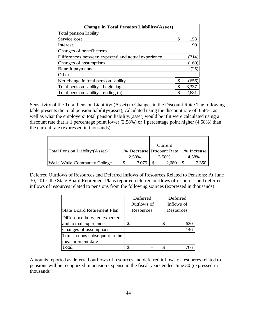| <b>Change in Total Pension Liability/(Asset)</b>   |    |       |
|----------------------------------------------------|----|-------|
| Total pension liability                            |    |       |
| Service cost                                       | \$ | 153   |
| <b>Interest</b>                                    |    | 99    |
| Changes of benefit terms                           |    |       |
| Differences between expected and actual experience |    | (714) |
| Changes of assumptions                             |    | (169) |
| Benefit payments                                   |    | (25   |
| Other                                              |    |       |
| Net change in total pension liability              | \$ | (656) |
| Total pension liability - beginning                | \$ | 3,337 |
| Total pension liability - ending (a)               | S  | 2.68  |

Sensitivity of the Total Pension Liability/ (Asset) to Changes in the Discount Rate**:** The following table presents the total pension liability/(asset), calculated using the discount rate of 3.58%, as well as what the employers' total pension liability/(asset) would be if it were calculated using a discount rate that is 1 percentage point lower (2.58%) or 1 percentage point higher (4.58%) than the current rate (expressed in thousands):

|                                 |       | Current                               |       |
|---------------------------------|-------|---------------------------------------|-------|
| Total Pension Liability/(Asset) |       | 1% Decrease Discount Rate 1% Increase |       |
|                                 | 2.58% | 3.58%                                 | 4.58% |
| Walla Walla Community College   | 3,079 | 2,680                                 | 2.350 |

Deferred Outflows of Resources and Deferred Inflows of Resources Related to Pensions: At June 30, 2017, the State Board Retirement Plans reported deferred outflows of resources and deferred inflows of resources related to pensions from the following sources (expressed in thousands):

|                                    | Deferred    | Deferred   |
|------------------------------------|-------------|------------|
|                                    | Outflows of | Inflows of |
| <b>State Board Retirement Plan</b> | Resources   | Resources  |
| Difference between expected        |             |            |
| and actual experience              | \$          |            |
| Changes of assumptions             |             | 146        |
| Transactions subsequent to the     |             |            |
| measurement date                   |             |            |
| Total                              |             |            |

Amounts reported as deferred outflows of resources and deferred inflows of resources related to pensions will be recognized in pension expense in the fiscal years ended June 30 (expressed in thousands):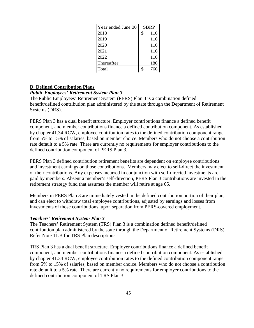| Year ended June 30 | <b>SBRP</b> |     |  |
|--------------------|-------------|-----|--|
| 2018               | \$          | 116 |  |
| 2019               |             | 116 |  |
| 2020               |             | 116 |  |
| 2021               |             | 116 |  |
| 2022               |             | 116 |  |
| Thereafter         |             | 186 |  |
| Total              |             | 766 |  |

#### **D. Defined Contribution Plans**

#### *Public Employees' Retirement System Plan 3*

The Public Employees' Retirement System (PERS) Plan 3 is a combination defined benefit/defined contribution plan administered by the state through the Department of Retirement Systems (DRS).

PERS Plan 3 has a dual benefit structure. Employer contributions finance a defined benefit component, and member contributions finance a defined contribution component. As established by chapter 41.34 RCW, employee contribution rates to the defined contribution component range from 5% to 15% of salaries, based on member choice. Members who do not choose a contribution rate default to a 5% rate. There are currently no requirements for employer contributions to the defined contribution component of PERS Plan 3.

PERS Plan 3 defined contribution retirement benefits are dependent on employee contributions and investment earnings on those contributions. Members may elect to self-direct the investment of their contributions. Any expenses incurred in conjunction with self-directed investments are paid by members. Absent a member's self-direction, PERS Plan 3 contributions are invested in the retirement strategy fund that assumes the member will retire at age 65.

Members in PERS Plan 3 are immediately vested in the defined contribution portion of their plan, and can elect to withdraw total employee contributions, adjusted by earnings and losses from investments of those contributions, upon separation from PERS-covered employment.

#### *Teachers' Retirement System Plan 3*

The Teachers' Retirement System (TRS) Plan 3 is a combination defined benefit/defined contribution plan administered by the state through the Department of Retirement Systems (DRS). Refer Note 11.B for TRS Plan descriptions.

TRS Plan 3 has a dual benefit structure. Employer contributions finance a defined benefit component, and member contributions finance a defined contribution component. As established by chapter 41.34 RCW, employee contribution rates to the defined contribution component range from 5% to 15% of salaries, based on member choice. Members who do not choose a contribution rate default to a 5% rate. There are currently no requirements for employer contributions to the defined contribution component of TRS Plan 3.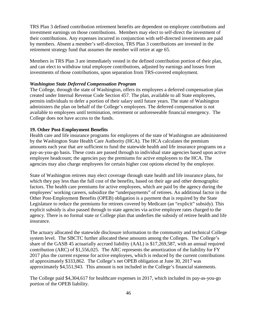TRS Plan 3 defined contribution retirement benefits are dependent on employee contributions and investment earnings on those contributions. Members may elect to self-direct the investment of their contributions. Any expenses incurred in conjunction with self-directed investments are paid by members. Absent a member's self-direction, TRS Plan 3 contributions are invested in the retirement strategy fund that assumes the member will retire at age 65.

Members in TRS Plan 3 are immediately vested in the defined contribution portion of their plan, and can elect to withdraw total employee contributions, adjusted by earnings and losses from investments of those contributions, upon separation from TRS-covered employment.

#### *Washington State Deferred Compensation Program*

The College, through the state of Washington, offers its employees a deferred compensation plan created under Internal Revenue Code Section 457. The plan, available to all State employees, permits individuals to defer a portion of their salary until future years. The state of Washington administers the plan on behalf of the College's employees. The deferred compensation is not available to employees until termination, retirement or unforeseeable financial emergency. The College does not have access to the funds.

#### **19. Other Post-Employment Benefits**

Health care and life insurance programs for employees of the state of Washington are administered by the Washington State Health Care Authority (HCA). The HCA calculates the premium amounts each year that are sufficient to fund the statewide health and life insurance programs on a pay-as-you-go basis. These costs are passed through to individual state agencies based upon active employee headcount; the agencies pay the premiums for active employees to the HCA. The agencies may also charge employees for certain higher cost options elected by the employee.

State of Washington retirees may elect coverage through state health and life insurance plans, for which they pay less than the full cost of the benefits, based on their age and other demographic factors. The health care premiums for active employees, which are paid by the agency during the employees' working careers, subsidize the "underpayments" of retirees. An additional factor in the Other Post-Employment Benefits (OPEB) obligation is a payment that is required by the State Legislature to reduce the premiums for retirees covered by Medicare (an "explicit" subsidy). This explicit subsidy is also passed through to state agencies via active employee rates charged to the agency. There is no formal state or College plan that underlies the subsidy of retiree health and life insurance.

The actuary allocated the statewide disclosure information to the community and technical College system level. The SBCTC further allocated these amounts among the Colleges. The College's share of the GASB 45 actuarially accrued liability (AAL) is \$17,269,587, with an annual required contribution (ARC) of \$1,556,025. The ARC represents the amortization of the liability for FY 2017 plus the current expense for active employees, which is reduced by the current contributions of approximately \$333,862. The College's net OPEB obligation at June 30, 2017 was approximately \$4,551,943. This amount is not included in the College's financial statements.

The College paid \$4,304,617 for healthcare expenses in 2017, which included its pay-as-you-go portion of the OPEB liability.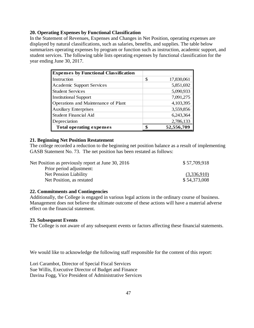#### **20. Operating Expenses by Functional Classification**

In the Statement of Revenues, Expenses and Changes in Net Position, operating expenses are displayed by natural classifications, such as salaries, benefits, and supplies. The table below summarizes operating expenses by program or function such as instruction, academic support, and student services. The following table lists operating expenses by functional classification for the year ending June 30, 2017.

| <b>Expenses by Functional Classification</b> |                  |
|----------------------------------------------|------------------|
| Instruction                                  | \$<br>17,830,061 |
| Academic Support Services                    | 5,851,692        |
| <b>Student Services</b>                      | 5,090,933        |
| <b>Institutional Support</b>                 | 7,091,275        |
| Operations and Maintenance of Plant          | 4,103,395        |
| Auxiliary Enterprises                        | 3,559,856        |
| <b>Student Financial Aid</b>                 | 6,243,364        |
| Depreciation                                 | 2,786,133        |
| <b>Total operating expenses</b>              | 52,556,709       |

#### **21. Beginning Net Position Restatement**

The college recorded a reduction to the beginning net position balance as a result of implementing GASB Statement No. 73. The net position has been restated as follows:

| Net Position as previously report at June 30, 2016 | \$57,709,918 |
|----------------------------------------------------|--------------|
| Prior period adjustment:                           |              |
| Net Pension Liability                              | (3,336,910)  |
| Net Position, as restated                          | \$54,373,008 |

#### **22. Commitments and Contingencies**

Additionally, the College is engaged in various legal actions in the ordinary course of business. Management does not believe the ultimate outcome of these actions will have a material adverse effect on the financial statement.

#### **23. Subsequent Events**

The College is not aware of any subsequent events or factors affecting these financial statements.

We would like to acknowledge the following staff responsible for the content of this report:

Lori Carambot, Director of Special Fiscal Services Sue Willis, Executive Director of Budget and Finance Davina Fogg, Vice President of Administrative Services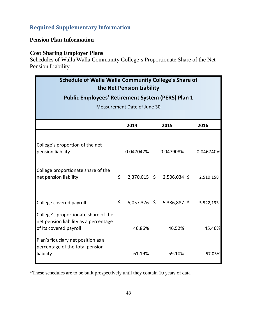# <span id="page-47-0"></span>**Required Supplementary Information**

# **Pension Plan Information**

### **Cost Sharing Employer Plans**

Schedules of Walla Walla Community College's Proportionate Share of the Net Pension Liability

| Schedule of Walla Walla Community College's Share of<br>the Net Pension Liability                       |    |           |  |                             |  |           |  |  |  |
|---------------------------------------------------------------------------------------------------------|----|-----------|--|-----------------------------|--|-----------|--|--|--|
| <b>Public Employees' Retirement System (PERS) Plan 1</b><br>Measurement Date of June 30                 |    |           |  |                             |  |           |  |  |  |
|                                                                                                         |    | 2014      |  | 2015                        |  | 2016      |  |  |  |
|                                                                                                         |    |           |  |                             |  |           |  |  |  |
| College's proportion of the net<br>pension liability                                                    |    | 0.047047% |  | 0.047908%                   |  | 0.046740% |  |  |  |
| College proportionate share of the<br>net pension liability                                             | \$ |           |  | 2,370,015 \$ 2,506,034 \$   |  | 2,510,158 |  |  |  |
| College covered payroll                                                                                 | \$ |           |  | $5,057,376$ \$ 5,386,887 \$ |  | 5,522,193 |  |  |  |
| College's proportionate share of the<br>net pension liability as a percentage<br>of its covered payroll |    | 46.86%    |  | 46.52%                      |  | 45.46%    |  |  |  |
| Plan's fiduciary net position as a<br>percentage of the total pension<br>liability                      |    | 61.19%    |  | 59.10%                      |  | 57.03%    |  |  |  |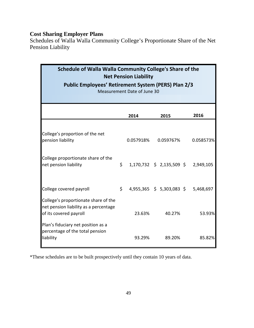Schedules of Walla Walla Community College's Proportionate Share of the Net Pension Liability

| Schedule of Walla Walla Community College's Share of the<br><b>Net Pension Liability</b><br><b>Public Employees' Retirement System (PERS) Plan 2/3</b><br>Measurement Date of June 30 |    |           |  |                                 |  |           |  |  |
|---------------------------------------------------------------------------------------------------------------------------------------------------------------------------------------|----|-----------|--|---------------------------------|--|-----------|--|--|
|                                                                                                                                                                                       |    | 2014      |  | 2015                            |  | 2016      |  |  |
| College's proportion of the net<br>pension liability                                                                                                                                  |    | 0.057918% |  | 0.059767%                       |  | 0.058573% |  |  |
| College proportionate share of the<br>net pension liability                                                                                                                           | \$ |           |  | $1,170,732 \div 2,135,509 \div$ |  | 2,949,105 |  |  |
| College covered payroll                                                                                                                                                               | \$ |           |  | $4,955,365$ \$ 5,303,083 \$     |  | 5,468,697 |  |  |
| College's proportionate share of the<br>net pension liability as a percentage<br>of its covered payroll                                                                               |    | 23.63%    |  | 40.27%                          |  | 53.93%    |  |  |
| Plan's fiduciary net position as a<br>percentage of the total pension<br>liability                                                                                                    |    | 93.29%    |  | 89.20%                          |  | 85.82%    |  |  |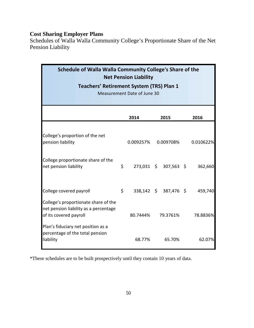Schedules of Walla Walla Community College's Proportionate Share of the Net Pension Liability

| Schedule of Walla Walla Community College's Share of the<br><b>Net Pension Liability</b><br><b>Teachers' Retirement System (TRS) Plan 1</b><br>Measurement Date of June 30 |    |           |  |                       |  |           |  |  |
|----------------------------------------------------------------------------------------------------------------------------------------------------------------------------|----|-----------|--|-----------------------|--|-----------|--|--|
|                                                                                                                                                                            |    | 2014      |  | 2015                  |  | 2016      |  |  |
| College's proportion of the net<br>pension liability                                                                                                                       |    | 0.009257% |  | 0.009708%             |  | 0.010622% |  |  |
| College proportionate share of the<br>net pension liability                                                                                                                | \$ |           |  | 273,031 \$ 307,563 \$ |  | 362,660   |  |  |
| College covered payroll                                                                                                                                                    | \$ |           |  | 338,142 \$ 387,476 \$ |  | 459,740   |  |  |
| College's proportionate share of the<br>net pension liability as a percentage<br>of its covered payroll                                                                    |    | 80.7444%  |  | 79.3761%              |  | 78.8836%  |  |  |
| Plan's fiduciary net position as a<br>percentage of the total pension<br>liability                                                                                         |    | 68.77%    |  | 65.70%                |  | 62.07%    |  |  |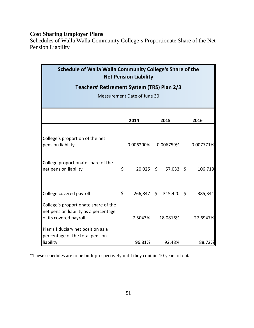Schedules of Walla Walla Community College's Proportionate Share of the Net Pension Liability

| Schedule of Walla Walla Community College's Share of the<br><b>Net Pension Liability</b>                |    |           |  |                       |  |           |  |  |
|---------------------------------------------------------------------------------------------------------|----|-----------|--|-----------------------|--|-----------|--|--|
| Teachers' Retirement System (TRS) Plan 2/3                                                              |    |           |  |                       |  |           |  |  |
| Measurement Date of June 30                                                                             |    |           |  |                       |  |           |  |  |
|                                                                                                         |    | 2014      |  | 2015                  |  | 2016      |  |  |
|                                                                                                         |    |           |  |                       |  |           |  |  |
| College's proportion of the net<br>pension liability                                                    |    | 0.006200% |  | 0.006759%             |  | 0.007771% |  |  |
| College proportionate share of the<br>net pension liability                                             | \$ |           |  | $20,025$ \$ 57,033 \$ |  | 106,719   |  |  |
| College covered payroll                                                                                 | \$ |           |  | 266,847 \$ 315,420 \$ |  | 385,341   |  |  |
| College's proportionate share of the<br>net pension liability as a percentage<br>of its covered payroll |    | 7.5043%   |  | 18.0816%              |  | 27.6947%  |  |  |
| Plan's fiduciary net position as a<br>percentage of the total pension<br>liability                      |    | 96.81%    |  | 92.48%                |  | 88.72%    |  |  |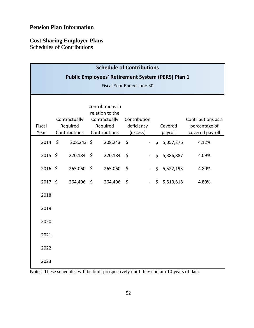# **Pension Plan Information**

# **Cost Sharing Employer Plans**

Schedules of Contributions

| <b>Schedule of Contributions</b>                                                             |  |                                            |                                                                                   |            |                                        |                           |  |                    |                                                        |  |
|----------------------------------------------------------------------------------------------|--|--------------------------------------------|-----------------------------------------------------------------------------------|------------|----------------------------------------|---------------------------|--|--------------------|--------------------------------------------------------|--|
| <b>Public Employees' Retirement System (PERS) Plan 1</b><br><b>Fiscal Year Ended June 30</b> |  |                                            |                                                                                   |            |                                        |                           |  |                    |                                                        |  |
| Fiscal<br>Year                                                                               |  | Contractually<br>Required<br>Contributions | Contributions in<br>relation to the<br>Contractually<br>Required<br>Contributions |            | Contribution<br>deficiency<br>(excess) |                           |  | Covered<br>payroll | Contributions as a<br>percentage of<br>covered payroll |  |
| $2014 \quad $$                                                                               |  | 208,243 \$                                 |                                                                                   | 208,243 \$ |                                        |                           |  | $-$ \$ 5,057,376   | 4.12%                                                  |  |
| $2015$ \$                                                                                    |  | 220,184 \$                                 |                                                                                   | 220,184    | \$                                     | $\sim$ .                  |  | \$5,386,887        | 4.09%                                                  |  |
| $2016$ \$                                                                                    |  | 265,060 \$                                 |                                                                                   | 265,060    | $\zeta$                                | $\mathbb{Z}^{\mathbb{Z}}$ |  | \$5,522,193        | 4.80%                                                  |  |
| $2017$ \$                                                                                    |  | 264,406 \$                                 |                                                                                   | 264,406    | $\ddot{\varsigma}$                     | $\mathbb{Z}^{\mathbb{Z}}$ |  | \$5,510,818        | 4.80%                                                  |  |
| 2018                                                                                         |  |                                            |                                                                                   |            |                                        |                           |  |                    |                                                        |  |
| 2019                                                                                         |  |                                            |                                                                                   |            |                                        |                           |  |                    |                                                        |  |
| 2020                                                                                         |  |                                            |                                                                                   |            |                                        |                           |  |                    |                                                        |  |
| 2021                                                                                         |  |                                            |                                                                                   |            |                                        |                           |  |                    |                                                        |  |
| 2022                                                                                         |  |                                            |                                                                                   |            |                                        |                           |  |                    |                                                        |  |
| 2023                                                                                         |  |                                            |                                                                                   |            |                                        |                           |  |                    |                                                        |  |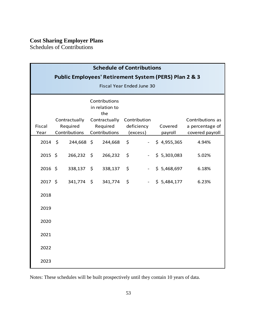Schedules of Contributions

| <b>Schedule of Contributions</b>                      |  |                           |                           |         |                        |                          |                    |                                    |  |  |
|-------------------------------------------------------|--|---------------------------|---------------------------|---------|------------------------|--------------------------|--------------------|------------------------------------|--|--|
| Public Employees' Retirement System (PERS) Plan 2 & 3 |  |                           |                           |         |                        |                          |                    |                                    |  |  |
| Fiscal Year Ended June 30                             |  |                           |                           |         |                        |                          |                    |                                    |  |  |
| Contributions<br>in relation to<br>the                |  |                           |                           |         |                        |                          |                    |                                    |  |  |
|                                                       |  | Contractually             | Contractually             |         | Contribution           |                          |                    | Contributions as                   |  |  |
| Fiscal<br>Year                                        |  | Required<br>Contributions | Required<br>Contributions |         | deficiency<br>(excess) |                          | Covered<br>payroll | a percentage of<br>covered payroll |  |  |
| $2014 \div$                                           |  | 244,668 \$                |                           | 244,668 | $\zeta$                | $\overline{\phantom{a}}$ | \$4,955,365        | 4.94%                              |  |  |
| $2015$ \$                                             |  | 266,232                   | \$                        | 266,232 | \$                     | $\blacksquare$           | \$5,303,083        | 5.02%                              |  |  |
| $2016$ \$                                             |  | 338,137 \$                |                           | 338,137 | $\zeta$                | $\blacksquare$           | \$5,468,697        | 6.18%                              |  |  |
| $2017$ \$                                             |  | 341,774 \$                |                           | 341,774 | \$                     | $\Box$                   | \$5,484,177        | 6.23%                              |  |  |
| 2018                                                  |  |                           |                           |         |                        |                          |                    |                                    |  |  |
| 2019                                                  |  |                           |                           |         |                        |                          |                    |                                    |  |  |
| 2020                                                  |  |                           |                           |         |                        |                          |                    |                                    |  |  |
| 2021                                                  |  |                           |                           |         |                        |                          |                    |                                    |  |  |
| 2022                                                  |  |                           |                           |         |                        |                          |                    |                                    |  |  |
| 2023                                                  |  |                           |                           |         |                        |                          |                    |                                    |  |  |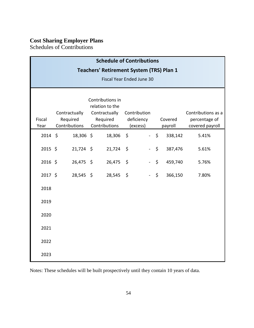Schedules of Contributions

| <b>Schedule of Contributions</b>                |                                            |             |                                                                                   |           |                                        |        |                    |         |                                                        |  |
|-------------------------------------------------|--------------------------------------------|-------------|-----------------------------------------------------------------------------------|-----------|----------------------------------------|--------|--------------------|---------|--------------------------------------------------------|--|
| <b>Teachers' Retirement System (TRS) Plan 1</b> |                                            |             |                                                                                   |           |                                        |        |                    |         |                                                        |  |
| <b>Fiscal Year Ended June 30</b>                |                                            |             |                                                                                   |           |                                        |        |                    |         |                                                        |  |
| Fiscal<br>Year                                  | Contractually<br>Required<br>Contributions |             | Contributions in<br>relation to the<br>Contractually<br>Required<br>Contributions |           | Contribution<br>deficiency<br>(excess) |        | Covered<br>payroll |         | Contributions as a<br>percentage of<br>covered payroll |  |
| $2014 \; \text{S}$                              |                                            | 18,306 \$   |                                                                                   | 18,306    | $\ddot{\mathsf{s}}$                    |        | $-5$               | 338,142 | 5.41%                                                  |  |
| 2015 \$                                         |                                            | $21,724$ \$ |                                                                                   | 21,724    | \$                                     | $\sim$ | \$                 | 387,476 | 5.61%                                                  |  |
| 2016 \$                                         |                                            | 26,475 \$   |                                                                                   | 26,475    | $\zeta$                                |        | $\zeta$            | 459,740 | 5.76%                                                  |  |
| 2017 \$                                         |                                            | $28,545$ \$ |                                                                                   | 28,545 \$ |                                        |        | \$                 | 366,150 | 7.80%                                                  |  |
| 2018                                            |                                            |             |                                                                                   |           |                                        |        |                    |         |                                                        |  |
| 2019                                            |                                            |             |                                                                                   |           |                                        |        |                    |         |                                                        |  |
| 2020                                            |                                            |             |                                                                                   |           |                                        |        |                    |         |                                                        |  |
| 2021                                            |                                            |             |                                                                                   |           |                                        |        |                    |         |                                                        |  |
| 2022                                            |                                            |             |                                                                                   |           |                                        |        |                    |         |                                                        |  |
| 2023                                            |                                            |             |                                                                                   |           |                                        |        |                    |         |                                                        |  |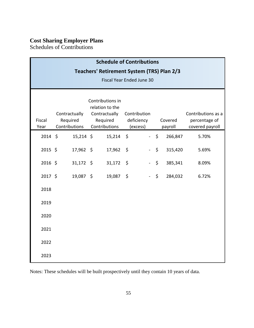Schedules of Contributions

| <b>Schedule of Contributions</b><br>Teachers' Retirement System (TRS) Plan 2/3<br>Fiscal Year Ended June 30 |                                            |             |                                                                                   |                                        |  |                    |         |                                                        |  |  |
|-------------------------------------------------------------------------------------------------------------|--------------------------------------------|-------------|-----------------------------------------------------------------------------------|----------------------------------------|--|--------------------|---------|--------------------------------------------------------|--|--|
| Fiscal<br>Year                                                                                              | Contractually<br>Required<br>Contributions |             | Contributions in<br>relation to the<br>Contractually<br>Required<br>Contributions | Contribution<br>deficiency<br>(excess) |  | Covered<br>payroll |         | Contributions as a<br>percentage of<br>covered payroll |  |  |
| $2014 \; \text{S}$                                                                                          |                                            | $15,214$ \$ | $15,214$ \$                                                                       |                                        |  | $-5$               | 266,847 | 5.70%                                                  |  |  |
| $2015$ \$                                                                                                   |                                            | 17,962 \$   | 17,962                                                                            | \$                                     |  | $\zeta$            | 315,420 | 5.69%                                                  |  |  |
| $2016$ \$                                                                                                   |                                            | $31,172$ \$ | $31,172$ \$                                                                       |                                        |  | $\frac{1}{2}$      | 385,341 | 8.09%                                                  |  |  |
| 2017 \$                                                                                                     |                                            | 19,087 \$   | 19,087                                                                            | $\ddot{\phi}$                          |  | $\zeta$            | 284,032 | 6.72%                                                  |  |  |
| 2018                                                                                                        |                                            |             |                                                                                   |                                        |  |                    |         |                                                        |  |  |
| 2019                                                                                                        |                                            |             |                                                                                   |                                        |  |                    |         |                                                        |  |  |
| 2020                                                                                                        |                                            |             |                                                                                   |                                        |  |                    |         |                                                        |  |  |
| 2021                                                                                                        |                                            |             |                                                                                   |                                        |  |                    |         |                                                        |  |  |
| 2022                                                                                                        |                                            |             |                                                                                   |                                        |  |                    |         |                                                        |  |  |
| 2023                                                                                                        |                                            |             |                                                                                   |                                        |  |                    |         |                                                        |  |  |